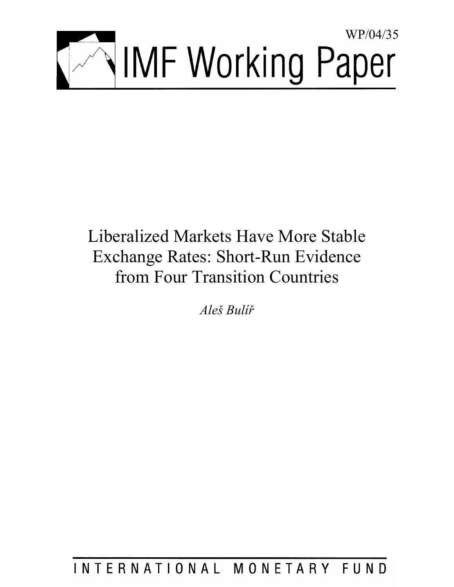

# Liberalized Markets Have More Stable Exchange Rates: Short-Run Evidence from Four Transition Countries

*Aleš Bulíř*

INTERNATIONAL MONETARY FUND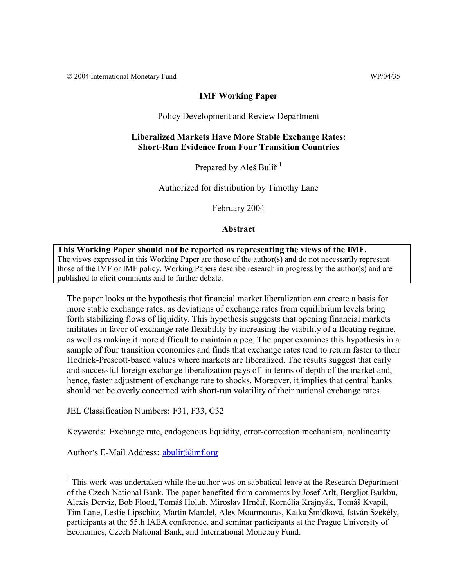© 2004 International Monetary Fund WP/04/35

#### **IMF Working Paper**

Policy Development and Review Department

### **Liberalized Markets Have More Stable Exchange Rates: Short-Run Evidence from Four Transition Countries**

Prepared by Aleš Bulíř $<sup>1</sup>$ </sup>

Authorized for distribution by Timothy Lane

February 2004

**Abstract**

#### **This Working Paper should not be reported as representing the views of the IMF.** The views expressed in this Working Paper are those of the author(s) and do not necessarily represent those of the IMF or IMF policy. Working Papers describe research in progress by the author(s) and are published to elicit comments and to further debate.

The paper looks at the hypothesis that financial market liberalization can create a basis for more stable exchange rates, as deviations of exchange rates from equilibrium levels bring forth stabilizing flows of liquidity. This hypothesis suggests that opening financial markets militates in favor of exchange rate flexibility by increasing the viability of a floating regime, as well as making it more difficult to maintain a peg. The paper examines this hypothesis in a sample of four transition economies and finds that exchange rates tend to return faster to their Hodrick-Prescott-based values where markets are liberalized. The results suggest that early and successful foreign exchange liberalization pays off in terms of depth of the market and, hence, faster adjustment of exchange rate to shocks. Moreover, it implies that central banks should not be overly concerned with short-run volatility of their national exchange rates.

JEL Classification Numbers: F31, F33, C32

Keywords: Exchange rate, endogenous liquidity, error-correction mechanism, nonlinearity

Author's E-Mail Address: abulir@imf.org

 $1$  This work was undertaken while the author was on sabbatical leave at the Research Department of the Czech National Bank. The paper benefited from comments by Josef Arlt, Bergljot Barkbu, Alexis Derviz, Bob Flood, Tomáš Holub, Miroslav Hrnčíř, Kornélia Krajnyák, Tomáš Kvapil, Tim Lane, Leslie Lipschitz, Martin Mandel, Alex Mourmouras, Katka Šmídková, István Szekély, participants at the 55th IAEA conference, and seminar participants at the Prague University of Economics, Czech National Bank, and International Monetary Fund.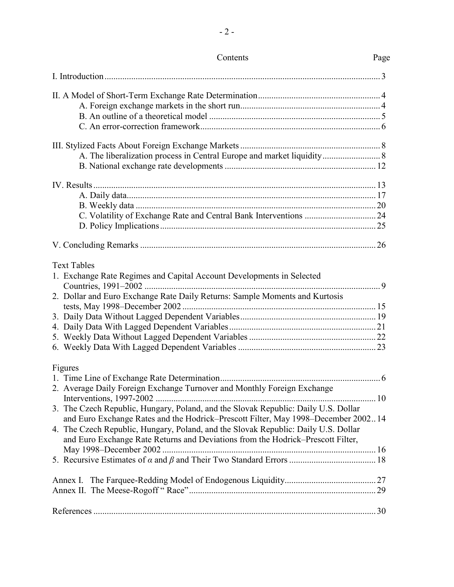| Contents                                                                                                                                                              | Page |
|-----------------------------------------------------------------------------------------------------------------------------------------------------------------------|------|
|                                                                                                                                                                       |      |
|                                                                                                                                                                       |      |
|                                                                                                                                                                       |      |
|                                                                                                                                                                       |      |
|                                                                                                                                                                       |      |
|                                                                                                                                                                       |      |
|                                                                                                                                                                       |      |
|                                                                                                                                                                       |      |
|                                                                                                                                                                       |      |
|                                                                                                                                                                       |      |
|                                                                                                                                                                       |      |
|                                                                                                                                                                       |      |
|                                                                                                                                                                       |      |
|                                                                                                                                                                       |      |
| <b>Text Tables</b>                                                                                                                                                    |      |
| 1. Exchange Rate Regimes and Capital Account Developments in Selected                                                                                                 |      |
| Countries, 1991-2002                                                                                                                                                  |      |
| 2. Dollar and Euro Exchange Rate Daily Returns: Sample Moments and Kurtosis                                                                                           |      |
|                                                                                                                                                                       |      |
|                                                                                                                                                                       |      |
|                                                                                                                                                                       |      |
|                                                                                                                                                                       |      |
|                                                                                                                                                                       |      |
| Figures                                                                                                                                                               |      |
|                                                                                                                                                                       |      |
| 2. Average Daily Foreign Exchange Turnover and Monthly Foreign Exchange                                                                                               |      |
| Interventions, 1997-2002                                                                                                                                              |      |
| 3. The Czech Republic, Hungary, Poland, and the Slovak Republic: Daily U.S. Dollar                                                                                    |      |
| and Euro Exchange Rates and the Hodrick–Prescott Filter, May 1998–December 200214                                                                                     |      |
| 4. The Czech Republic, Hungary, Poland, and the Slovak Republic: Daily U.S. Dollar<br>and Euro Exchange Rate Returns and Deviations from the Hodrick-Prescott Filter, |      |
|                                                                                                                                                                       |      |
|                                                                                                                                                                       |      |
|                                                                                                                                                                       |      |
|                                                                                                                                                                       |      |
|                                                                                                                                                                       |      |
|                                                                                                                                                                       |      |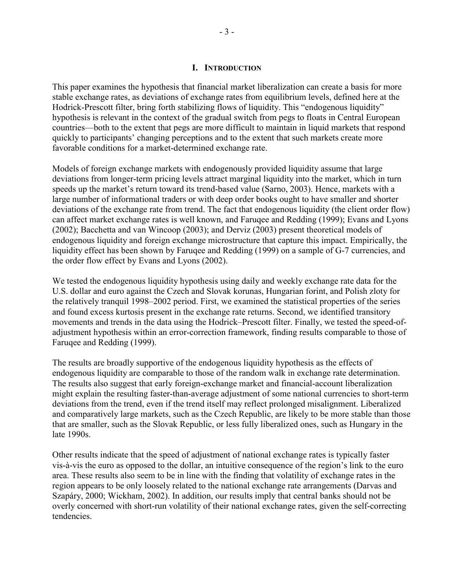### **I. INTRODUCTION**

This paper examines the hypothesis that financial market liberalization can create a basis for more stable exchange rates, as deviations of exchange rates from equilibrium levels, defined here at the Hodrick-Prescott filter, bring forth stabilizing flows of liquidity. This "endogenous liquidity" hypothesis is relevant in the context of the gradual switch from pegs to floats in Central European countries—both to the extent that pegs are more difficult to maintain in liquid markets that respond quickly to participants' changing perceptions and to the extent that such markets create more favorable conditions for a market-determined exchange rate.

Models of foreign exchange markets with endogenously provided liquidity assume that large deviations from longer-term pricing levels attract marginal liquidity into the market, which in turn speeds up the market's return toward its trend-based value (Sarno, 2003). Hence, markets with a large number of informational traders or with deep order books ought to have smaller and shorter deviations of the exchange rate from trend. The fact that endogenous liquidity (the client order flow) can affect market exchange rates is well known, and Faruqee and Redding (1999); Evans and Lyons (2002); Bacchetta and van Wincoop (2003); and Derviz (2003) present theoretical models of endogenous liquidity and foreign exchange microstructure that capture this impact. Empirically, the liquidity effect has been shown by Faruqee and Redding (1999) on a sample of G-7 currencies, and the order flow effect by Evans and Lyons (2002).

We tested the endogenous liquidity hypothesis using daily and weekly exchange rate data for the U.S. dollar and euro against the Czech and Slovak korunas, Hungarian forint, and Polish zloty for the relatively tranquil 1998–2002 period. First, we examined the statistical properties of the series and found excess kurtosis present in the exchange rate returns. Second, we identified transitory movements and trends in the data using the Hodrick–Prescott filter. Finally, we tested the speed-ofadjustment hypothesis within an error-correction framework, finding results comparable to those of Faruqee and Redding (1999).

The results are broadly supportive of the endogenous liquidity hypothesis as the effects of endogenous liquidity are comparable to those of the random walk in exchange rate determination. The results also suggest that early foreign-exchange market and financial-account liberalization might explain the resulting faster-than-average adjustment of some national currencies to short-term deviations from the trend, even if the trend itself may reflect prolonged misalignment. Liberalized and comparatively large markets, such as the Czech Republic, are likely to be more stable than those that are smaller, such as the Slovak Republic, or less fully liberalized ones, such as Hungary in the late 1990s.

Other results indicate that the speed of adjustment of national exchange rates is typically faster vis-à-vis the euro as opposed to the dollar, an intuitive consequence of the region's link to the euro area. These results also seem to be in line with the finding that volatility of exchange rates in the region appears to be only loosely related to the national exchange rate arrangements (Darvas and Szapáry, 2000; Wickham, 2002). In addition, our results imply that central banks should not be overly concerned with short-run volatility of their national exchange rates, given the self-correcting tendencies.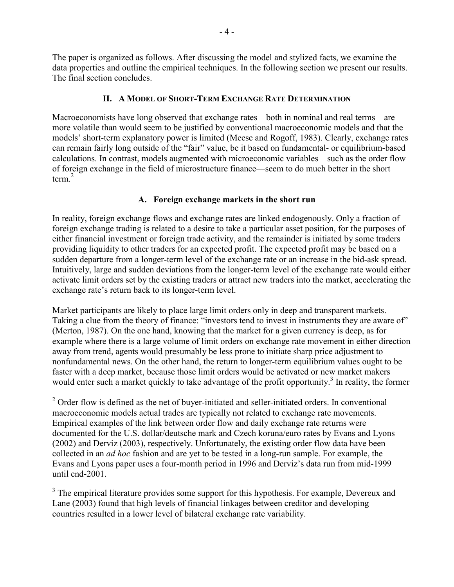The paper is organized as follows. After discussing the model and stylized facts, we examine the data properties and outline the empirical techniques. In the following section we present our results. The final section concludes.

# **II. A MODEL OF SHORT-TERM EXCHANGE RATE DETERMINATION**

Macroeconomists have long observed that exchange rates—both in nominal and real terms—are more volatile than would seem to be justified by conventional macroeconomic models and that the models' short-term explanatory power is limited (Meese and Rogoff, 1983). Clearly, exchange rates can remain fairly long outside of the "fair" value, be it based on fundamental- or equilibrium-based calculations. In contrast, models augmented with microeconomic variables—such as the order flow of foreign exchange in the field of microstructure finance—seem to do much better in the short term. $^{2}$ 

# **A. Foreign exchange markets in the short run**

In reality, foreign exchange flows and exchange rates are linked endogenously. Only a fraction of foreign exchange trading is related to a desire to take a particular asset position, for the purposes of either financial investment or foreign trade activity, and the remainder is initiated by some traders providing liquidity to other traders for an expected profit. The expected profit may be based on a sudden departure from a longer-term level of the exchange rate or an increase in the bid-ask spread. Intuitively, large and sudden deviations from the longer-term level of the exchange rate would either activate limit orders set by the existing traders or attract new traders into the market, accelerating the exchange rate's return back to its longer-term level.

Market participants are likely to place large limit orders only in deep and transparent markets. Taking a clue from the theory of finance: "investors tend to invest in instruments they are aware of" (Merton, 1987). On the one hand, knowing that the market for a given currency is deep, as for example where there is a large volume of limit orders on exchange rate movement in either direction away from trend, agents would presumably be less prone to initiate sharp price adjustment to nonfundamental news. On the other hand, the return to longer-term equilibrium values ought to be faster with a deep market, because those limit orders would be activated or new market makers would enter such a market quickly to take advantage of the profit opportunity.<sup>3</sup> In reality, the former

 $\overline{a}$ 

 $3$  The empirical literature provides some support for this hypothesis. For example, Devereux and Lane (2003) found that high levels of financial linkages between creditor and developing countries resulted in a lower level of bilateral exchange rate variability.

 $2^2$  Order flow is defined as the net of buyer-initiated and seller-initiated orders. In conventional macroeconomic models actual trades are typically not related to exchange rate movements. Empirical examples of the link between order flow and daily exchange rate returns were documented for the U.S. dollar/deutsche mark and Czech koruna/euro rates by Evans and Lyons (2002) and Derviz (2003), respectively. Unfortunately, the existing order flow data have been collected in an *ad hoc* fashion and are yet to be tested in a long-run sample. For example, the Evans and Lyons paper uses a four-month period in 1996 and Derviz's data run from mid-1999 until end-2001.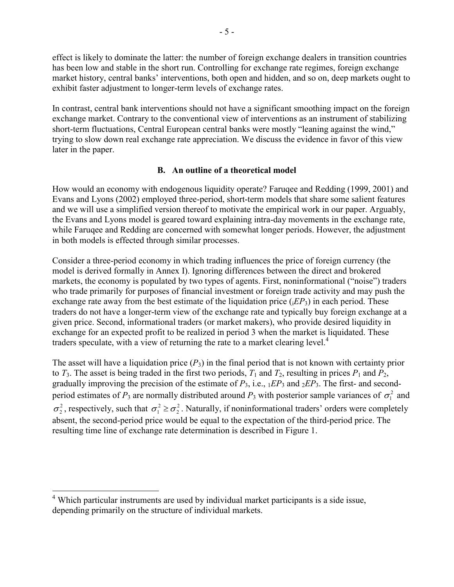effect is likely to dominate the latter: the number of foreign exchange dealers in transition countries has been low and stable in the short run. Controlling for exchange rate regimes, foreign exchange market history, central banks' interventions, both open and hidden, and so on, deep markets ought to exhibit faster adjustment to longer-term levels of exchange rates.

In contrast, central bank interventions should not have a significant smoothing impact on the foreign exchange market. Contrary to the conventional view of interventions as an instrument of stabilizing short-term fluctuations, Central European central banks were mostly "leaning against the wind," trying to slow down real exchange rate appreciation. We discuss the evidence in favor of this view later in the paper.

# **B. An outline of a theoretical model**

How would an economy with endogenous liquidity operate? Faruqee and Redding (1999, 2001) and Evans and Lyons (2002) employed three-period, short-term models that share some salient features and we will use a simplified version thereof to motivate the empirical work in our paper. Arguably, the Evans and Lyons model is geared toward explaining intra-day movements in the exchange rate, while Faruqee and Redding are concerned with somewhat longer periods. However, the adjustment in both models is effected through similar processes.

Consider a three-period economy in which trading influences the price of foreign currency (the model is derived formally in Annex I). Ignoring differences between the direct and brokered markets, the economy is populated by two types of agents. First, noninformational ("noise") traders who trade primarily for purposes of financial investment or foreign trade activity and may push the exchange rate away from the best estimate of the liquidation price  $(iEP_3)$  in each period. These traders do not have a longer-term view of the exchange rate and typically buy foreign exchange at a given price. Second, informational traders (or market makers), who provide desired liquidity in exchange for an expected profit to be realized in period 3 when the market is liquidated. These traders speculate, with a view of returning the rate to a market clearing level. $4$ 

The asset will have a liquidation price  $(P_3)$  in the final period that is not known with certainty prior to  $T_3$ . The asset is being traded in the first two periods,  $T_1$  and  $T_2$ , resulting in prices  $P_1$  and  $P_2$ , gradually improving the precision of the estimate of *P*3, i.e., 1*EP*3 and 2*EP*3. The first- and secondperiod estimates of  $P_3$  are normally distributed around  $P_3$  with posterior sample variances of  $\sigma_1^2$  and  $\sigma_2^2$ , respectively, such that  $\sigma_1^2 \ge \sigma_2^2$ . Naturally, if noninformational traders' orders were completely absent, the second-period price would be equal to the expectation of the third-period price. The resulting time line of exchange rate determination is described in Figure 1.

 4 Which particular instruments are used by individual market participants is a side issue, depending primarily on the structure of individual markets.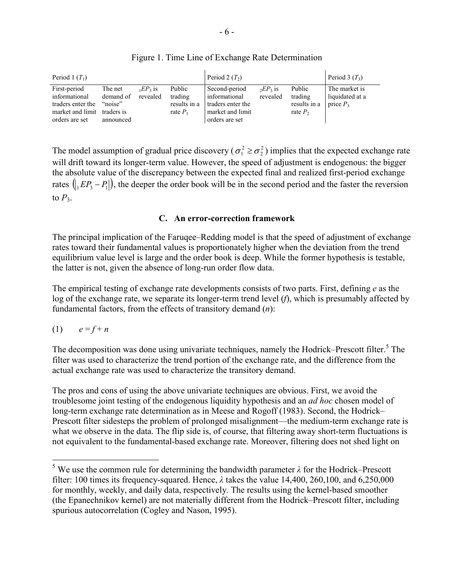| Period 1 $(T_1)$                                                                                    |                                              |                        |                                                 | Period 2 $(T_2)$                                                                          |                        |                                                 | Period 3 $(T_3)$                                |
|-----------------------------------------------------------------------------------------------------|----------------------------------------------|------------------------|-------------------------------------------------|-------------------------------------------------------------------------------------------|------------------------|-------------------------------------------------|-------------------------------------------------|
| First-period<br>informational<br>traders enter the<br>market and limit traders is<br>orders are set | The net<br>demand of<br>"noise"<br>announced | $E P_3$ is<br>revealed | Public<br>trading<br>results in a<br>rate $P_1$ | Second-period<br>informational<br>traders enter the<br>market and limit<br>orders are set | $E P_3$ is<br>revealed | Public<br>trading<br>results in a<br>rate $P_2$ | The market is<br>liquidated at a<br>price $P_3$ |

Figure 1. Time Line of Exchange Rate Determination

The model assumption of gradual price discovery ( $\sigma_1^2 \ge \sigma_2^2$ ) implies that the expected exchange rate will drift toward its longer-term value. However, the speed of adjustment is endogenous: the bigger the absolute value of the discrepancy between the expected final and realized first-period exchange rates  $\left(\frac{1}{2}E^2 - P_1\right)$ , the deeper the order book will be in the second period and the faster the reversion to  $P_3$ .

# **C. An error-correction framework**

The principal implication of the Faruqee–Redding model is that the speed of adjustment of exchange rates toward their fundamental values is proportionately higher when the deviation from the trend equilibrium value level is large and the order book is deep. While the former hypothesis is testable, the latter is not, given the absence of long-run order flow data.

The empirical testing of exchange rate developments consists of two parts. First, defining *e* as the log of the exchange rate, we separate its longer-term trend level (*f*), which is presumably affected by fundamental factors, from the effects of transitory demand (*n*):

$$
(1) \qquad e = f + n
$$

 $\overline{a}$ 

The decomposition was done using univariate techniques, namely the Hodrick–Prescott filter.<sup>5</sup> The filter was used to characterize the trend portion of the exchange rate, and the difference from the actual exchange rate was used to characterize the transitory demand.

The pros and cons of using the above univariate techniques are obvious. First, we avoid the troublesome joint testing of the endogenous liquidity hypothesis and an *ad hoc* chosen model of long-term exchange rate determination as in Meese and Rogoff (1983). Second, the Hodrick– Prescott filter sidesteps the problem of prolonged misalignment—the medium-term exchange rate is what we observe in the data. The flip side is, of course, that filtering away short-term fluctuations is not equivalent to the fundamental-based exchange rate. Moreover, filtering does not shed light on

<sup>&</sup>lt;sup>5</sup> We use the common rule for determining the bandwidth parameter  $\lambda$  for the Hodrick–Prescott filter: 100 times its frequency-squared. Hence, *λ* takes the value 14,400, 260,100, and 6,250,000 for monthly, weekly, and daily data, respectively. The results using the kernel-based smoother (the Epanechnikov kernel) are not materially different from the Hodrick–Prescott filter, including spurious autocorrelation (Cogley and Nason, 1995).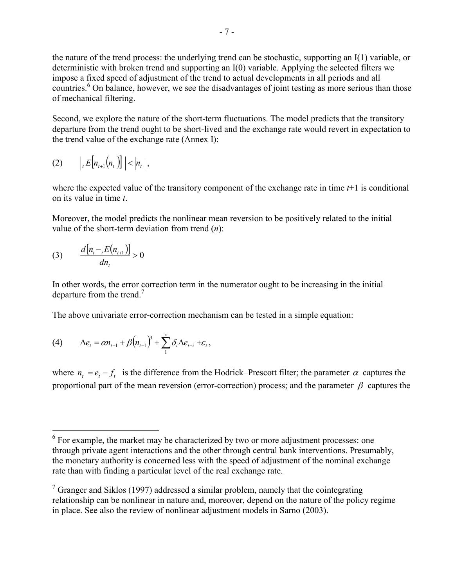the nature of the trend process: the underlying trend can be stochastic, supporting an I(1) variable, or deterministic with broken trend and supporting an I(0) variable. Applying the selected filters we impose a fixed speed of adjustment of the trend to actual developments in all periods and all countries.<sup>6</sup> On balance, however, we see the disadvantages of joint testing as more serious than those of mechanical filtering.

Second, we explore the nature of the short-term fluctuations. The model predicts that the transitory departure from the trend ought to be short-lived and the exchange rate would revert in expectation to the trend value of the exchange rate (Annex I):

$$
(2) \qquad \Big|_t E\Big[n_{t+1}\big(n_{t}\big)\Big] \Big| < \Big|n_{t}\Big|,
$$

where the expected value of the transitory component of the exchange rate in time *t*+1 is conditional on its value in time *t*.

Moreover, the model predicts the nonlinear mean reversion to be positively related to the initial value of the short-term deviation from trend (*n*):

(3) 
$$
\frac{d[n_{t}-E(n_{t+1})]}{dn_{t}}>0
$$

In other words, the error correction term in the numerator ought to be increasing in the initial departure from the trend.<sup>7</sup>

The above univariate error-correction mechanism can be tested in a simple equation:

(4) 
$$
\Delta e_t = \alpha n_{t-1} + \beta (n_{t-1})^3 + \sum_{1}^{x} \delta_i \Delta e_{t-i} + \varepsilon_t,
$$

where  $n_t = e_t - f_t$  is the difference from the Hodrick–Prescott filter; the parameter  $\alpha$  captures the proportional part of the mean reversion (error-correction) process; and the parameter  $\beta$  captures the

<sup>&</sup>lt;sup>6</sup> For example, the market may be characterized by two or more adjustment processes: one through private agent interactions and the other through central bank interventions. Presumably, the monetary authority is concerned less with the speed of adjustment of the nominal exchange rate than with finding a particular level of the real exchange rate.

 $7$  Granger and Siklos (1997) addressed a similar problem, namely that the cointegrating relationship can be nonlinear in nature and, moreover, depend on the nature of the policy regime in place. See also the review of nonlinear adjustment models in Sarno (2003).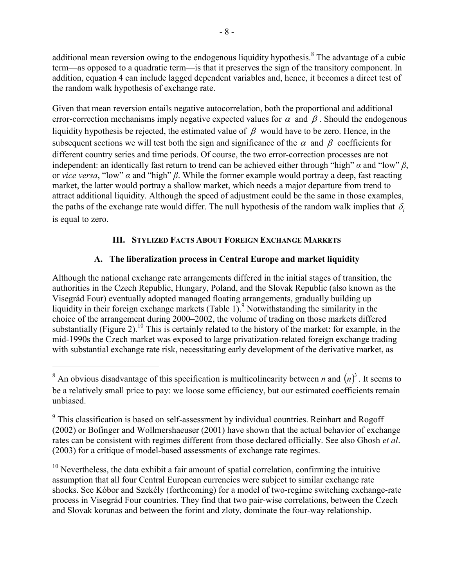additional mean reversion owing to the endogenous liquidity hypothesis.<sup>8</sup> The advantage of a cubic term—as opposed to a quadratic term—is that it preserves the sign of the transitory component. In addition, equation 4 can include lagged dependent variables and, hence, it becomes a direct test of the random walk hypothesis of exchange rate.

Given that mean reversion entails negative autocorrelation, both the proportional and additional error-correction mechanisms imply negative expected values for  $\alpha$  and  $\beta$ . Should the endogenous liquidity hypothesis be rejected, the estimated value of  $\beta$  would have to be zero. Hence, in the subsequent sections we will test both the sign and significance of the  $\alpha$  and  $\beta$  coefficients for different country series and time periods. Of course, the two error-correction processes are not independent: an identically fast return to trend can be achieved either through "high" *α* and "low" *β*, or *vice versa*, "low" *α* and "high" *β*. While the former example would portray a deep, fast reacting market, the latter would portray a shallow market, which needs a major departure from trend to attract additional liquidity. Although the speed of adjustment could be the same in those examples, the paths of the exchange rate would differ. The null hypothesis of the random walk implies that  $\delta_i$ is equal to zero.

# **III. STYLIZED FACTS ABOUT FOREIGN EXCHANGE MARKETS**

# **A. The liberalization process in Central Europe and market liquidity**

Although the national exchange rate arrangements differed in the initial stages of transition, the authorities in the Czech Republic, Hungary, Poland, and the Slovak Republic (also known as the Visegrád Four) eventually adopted managed floating arrangements, gradually building up liquidity in their foreign exchange markets (Table 1).<sup>9</sup> Notwithstanding the similarity in the choice of the arrangement during 2000–2002, the volume of trading on those markets differed substantially (Figure 2).<sup>10</sup> This is certainly related to the history of the market: for example, in the mid-1990s the Czech market was exposed to large privatization-related foreign exchange trading with substantial exchange rate risk, necessitating early development of the derivative market, as

 $\overline{a}$ 

 $10$  Nevertheless, the data exhibit a fair amount of spatial correlation, confirming the intuitive assumption that all four Central European currencies were subject to similar exchange rate shocks. See Kóbor and Szekély (forthcoming) for a model of two-regime switching exchange-rate process in Visegrád Four countries. They find that two pair-wise correlations, between the Czech and Slovak korunas and between the forint and zloty, dominate the four-way relationship.

<sup>&</sup>lt;sup>8</sup> An obvious disadvantage of this specification is multicolinearity between *n* and  $(n)^3$ . It seems to be a relatively small price to pay: we loose some efficiency, but our estimated coefficients remain unbiased.

 $9$  This classification is based on self-assessment by individual countries. Reinhart and Rogoff (2002) or Bofinger and Wollmershaeuser (2001) have shown that the actual behavior of exchange rates can be consistent with regimes different from those declared officially. See also Ghosh *et al*. (2003) for a critique of model-based assessments of exchange rate regimes.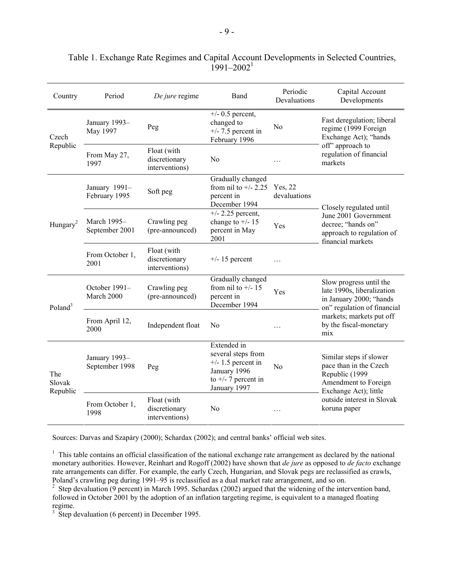| Country                   | Period                                 | De jure regime                                 | Band                                                                                                               | Periodic<br>Devaluations | Capital Account<br>Developments                                                                                      |
|---------------------------|----------------------------------------|------------------------------------------------|--------------------------------------------------------------------------------------------------------------------|--------------------------|----------------------------------------------------------------------------------------------------------------------|
| Czech                     | January 1993-<br>May 1997              | Peg                                            | $\overline{+}/$ - 0.5 percent,<br>changed to<br>$+/- 7.5$ percent in<br>February 1996                              | N <sub>0</sub>           | Fast deregulation; liberal<br>regime (1999 Foreign<br>Exchange Act); "hands                                          |
| Republic                  | From May 27,<br>1997                   | Float (with<br>discretionary<br>interventions) | N <sub>0</sub>                                                                                                     |                          | off" approach to<br>regulation of financial<br>markets                                                               |
|                           | January 1991-<br>February 1995         | Soft peg                                       | Gradually changed<br>from nil to $+/- 2.25$<br>percent in<br>December 1994                                         | Yes, 22<br>devaluations  | Closely regulated until                                                                                              |
| Hungary <sup>2</sup>      | March 1995-<br>September 2001          | Crawling peg<br>(pre-announced)                | $+/- 2.25$ percent,<br>change to $+/- 15$<br>percent in May<br>2001                                                | Yes                      | June 2001 Government<br>decree; "hands on"<br>approach to regulation of<br>financial markets                         |
|                           | From October 1,<br>2001                | Float (with<br>discretionary<br>interventions) | $+/- 15$ percent                                                                                                   | $\sim$                   |                                                                                                                      |
| Poland <sup>3</sup>       | October 1991-<br>March 2000            | Crawling peg<br>(pre-announced)                | Gradually changed<br>from nil to $+/$ -15<br>percent in<br>December 1994                                           | Yes                      | Slow progress until the<br>late 1990s, liberalization<br>in January 2000; "hands<br>on" regulation of financial      |
|                           | From April 12,<br>2000                 | Independent float                              | No                                                                                                                 | $\ddotsc$                | markets; markets put off<br>by the fiscal-monetary<br>mix                                                            |
| The<br>Slovak<br>Republic | January 1993-<br>September 1998<br>Peg |                                                | Extended in<br>several steps from<br>$+/- 1.5$ percent in<br>January 1996<br>to $+/- 7$ percent in<br>January 1997 | N <sub>0</sub>           | Similar steps if slower<br>pace than in the Czech<br>Republic (1999<br>Amendment to Foreign<br>Exchange Act); little |
|                           | From October 1,<br>1998                | Float (with<br>discretionary<br>interventions) | N <sub>0</sub>                                                                                                     |                          | outside interest in Slovak<br>koruna paper                                                                           |

# Table 1. Exchange Rate Regimes and Capital Account Developments in Selected Countries,  $1991 - 2002$ <sup>1</sup>

Sources: Darvas and Szapáry (2000); Schardax (2002); and central banks' official web sites.

 $<sup>1</sup>$  This table contains an official classification of the national exchange rate arrangement as declared by the national</sup> monetary authorities. However, Reinhart and Rogoff (2002) have shown that *de jure* as opposed to *de facto* exchange rate arrangements can differ. For example, the early Czech, Hungarian, and Slovak pegs are reclassified as crawls, Poland's crawling peg during 1991–95 is reclassified as a dual market rate arrangement, and so on.

<sup>2</sup> Step devaluation (9 percent) in March 1995. Schardax (2002) argued that the widening of the intervention band, followed in October 2001 by the adoption of an inflation targeting regime, is equivalent to a managed floating regime.

<sup>3</sup> Step devaluation (6 percent) in December 1995.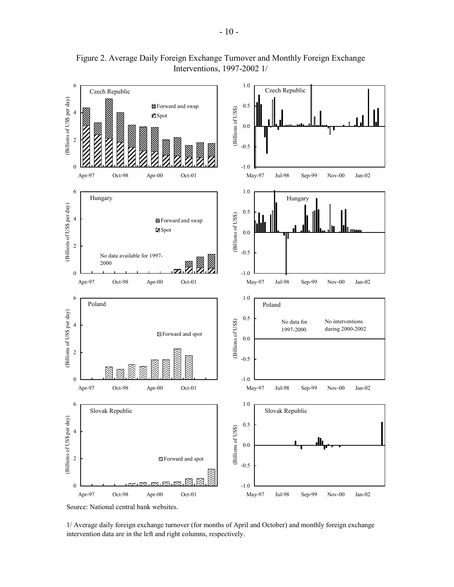

Figure 2. Average Daily Foreign Exchange Turnover and Monthly Foreign Exchange Interventions, 1997-2002 1/

1/ Average daily foreign exchange turnover (for months of April and October) and monthly foreign exchange intervention data are in the left and right columns, respectively.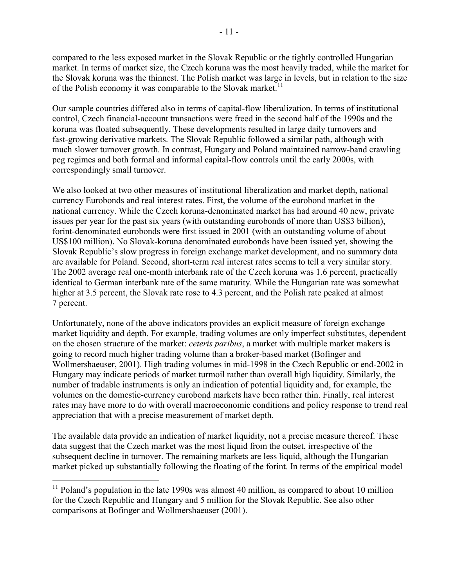compared to the less exposed market in the Slovak Republic or the tightly controlled Hungarian market. In terms of market size, the Czech koruna was the most heavily traded, while the market for the Slovak koruna was the thinnest. The Polish market was large in levels, but in relation to the size of the Polish economy it was comparable to the Slovak market.<sup>11</sup>

Our sample countries differed also in terms of capital-flow liberalization. In terms of institutional control, Czech financial-account transactions were freed in the second half of the 1990s and the koruna was floated subsequently. These developments resulted in large daily turnovers and fast-growing derivative markets. The Slovak Republic followed a similar path, although with much slower turnover growth. In contrast, Hungary and Poland maintained narrow-band crawling peg regimes and both formal and informal capital-flow controls until the early 2000s, with correspondingly small turnover.

We also looked at two other measures of institutional liberalization and market depth, national currency Eurobonds and real interest rates. First, the volume of the eurobond market in the national currency. While the Czech koruna-denominated market has had around 40 new, private issues per year for the past six years (with outstanding eurobonds of more than US\$3 billion), forint-denominated eurobonds were first issued in 2001 (with an outstanding volume of about US\$100 million). No Slovak-koruna denominated eurobonds have been issued yet, showing the Slovak Republic's slow progress in foreign exchange market development, and no summary data are available for Poland. Second, short-term real interest rates seems to tell a very similar story. The 2002 average real one-month interbank rate of the Czech koruna was 1.6 percent, practically identical to German interbank rate of the same maturity. While the Hungarian rate was somewhat higher at 3.5 percent, the Slovak rate rose to 4.3 percent, and the Polish rate peaked at almost 7 percent.

Unfortunately, none of the above indicators provides an explicit measure of foreign exchange market liquidity and depth. For example, trading volumes are only imperfect substitutes, dependent on the chosen structure of the market: *ceteris paribus*, a market with multiple market makers is going to record much higher trading volume than a broker-based market (Bofinger and Wollmershaeuser, 2001). High trading volumes in mid-1998 in the Czech Republic or end-2002 in Hungary may indicate periods of market turmoil rather than overall high liquidity. Similarly, the number of tradable instruments is only an indication of potential liquidity and, for example, the volumes on the domestic-currency eurobond markets have been rather thin. Finally, real interest rates may have more to do with overall macroeconomic conditions and policy response to trend real appreciation that with a precise measurement of market depth.

The available data provide an indication of market liquidity, not a precise measure thereof. These data suggest that the Czech market was the most liquid from the outset, irrespective of the subsequent decline in turnover. The remaining markets are less liquid, although the Hungarian market picked up substantially following the floating of the forint. In terms of the empirical model

 $11$  Poland's population in the late 1990s was almost 40 million, as compared to about 10 million for the Czech Republic and Hungary and 5 million for the Slovak Republic. See also other comparisons at Bofinger and Wollmershaeuser (2001).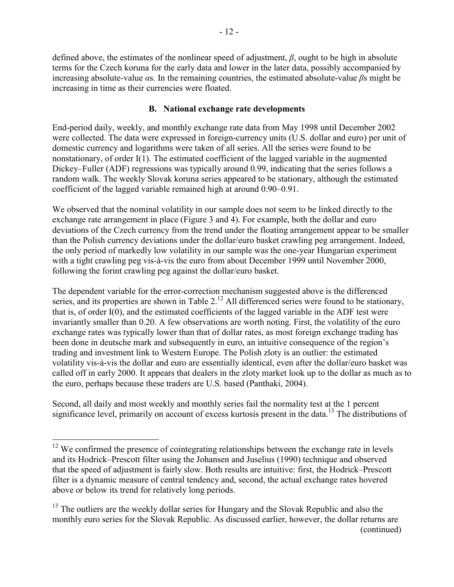defined above, the estimates of the nonlinear speed of adjustment, *β*, ought to be high in absolute terms for the Czech koruna for the early data and lower in the later data, possibly accompanied by increasing absolute-value *α*s. In the remaining countries, the estimated absolute-value *β*s might be increasing in time as their currencies were floated.

# **B. National exchange rate developments**

End-period daily, weekly, and monthly exchange rate data from May 1998 until December 2002 were collected. The data were expressed in foreign-currency units (U.S. dollar and euro) per unit of domestic currency and logarithms were taken of all series. All the series were found to be nonstationary, of order I(1). The estimated coefficient of the lagged variable in the augmented Dickey–Fuller (ADF) regressions was typically around 0.99, indicating that the series follows a random walk. The weekly Slovak koruna series appeared to be stationary, although the estimated coefficient of the lagged variable remained high at around 0.90–0.91.

We observed that the nominal volatility in our sample does not seem to be linked directly to the exchange rate arrangement in place (Figure 3 and 4). For example, both the dollar and euro deviations of the Czech currency from the trend under the floating arrangement appear to be smaller than the Polish currency deviations under the dollar/euro basket crawling peg arrangement. Indeed, the only period of markedly low volatility in our sample was the one-year Hungarian experiment with a tight crawling peg vis-à-vis the euro from about December 1999 until November 2000, following the forint crawling peg against the dollar/euro basket.

The dependent variable for the error-correction mechanism suggested above is the differenced series, and its properties are shown in Table  $2^{12}$  All differenced series were found to be stationary, that is, of order I(0), and the estimated coefficients of the lagged variable in the ADF test were invariantly smaller than 0.20. A few observations are worth noting. First, the volatility of the euro exchange rates was typically lower than that of dollar rates, as most foreign exchange trading has been done in deutsche mark and subsequently in euro, an intuitive consequence of the region's trading and investment link to Western Europe. The Polish zloty is an outlier: the estimated volatility vis-à-vis the dollar and euro are essentially identical, even after the dollar/euro basket was called off in early 2000. It appears that dealers in the zloty market look up to the dollar as much as to the euro, perhaps because these traders are U.S. based (Panthaki, 2004).

Second, all daily and most weekly and monthly series fail the normality test at the 1 percent significance level, primarily on account of excess kurtosis present in the data.13 The distributions of

 $12$  We confirmed the presence of cointegrating relationships between the exchange rate in levels and its Hodrick–Prescott filter using the Johansen and Juselius (1990) technique and observed that the speed of adjustment is fairly slow. Both results are intuitive: first, the Hodrick–Prescott filter is a dynamic measure of central tendency and, second, the actual exchange rates hovered above or below its trend for relatively long periods.

<sup>&</sup>lt;sup>13</sup> The outliers are the weekly dollar series for Hungary and the Slovak Republic and also the monthly euro series for the Slovak Republic. As discussed earlier, however, the dollar returns are (continued)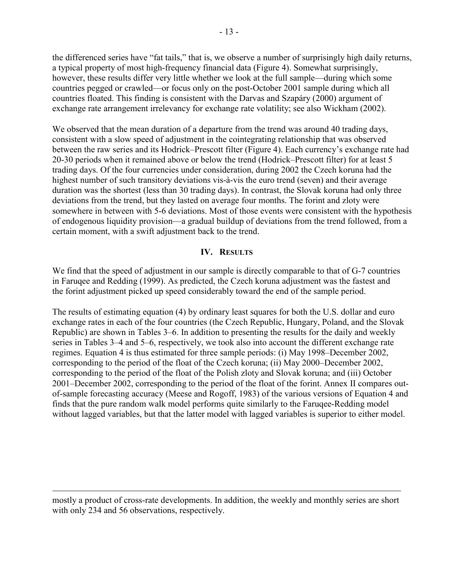the differenced series have "fat tails," that is, we observe a number of surprisingly high daily returns, a typical property of most high-frequency financial data (Figure 4). Somewhat surprisingly, however, these results differ very little whether we look at the full sample—during which some countries pegged or crawled—or focus only on the post-October 2001 sample during which all countries floated. This finding is consistent with the Darvas and Szapáry (2000) argument of exchange rate arrangement irrelevancy for exchange rate volatility; see also Wickham (2002).

We observed that the mean duration of a departure from the trend was around 40 trading days, consistent with a slow speed of adjustment in the cointegrating relationship that was observed between the raw series and its Hodrick–Prescott filter (Figure 4). Each currency's exchange rate had 20-30 periods when it remained above or below the trend (Hodrick–Prescott filter) for at least 5 trading days. Of the four currencies under consideration, during 2002 the Czech koruna had the highest number of such transitory deviations vis-à-vis the euro trend (seven) and their average duration was the shortest (less than 30 trading days). In contrast, the Slovak koruna had only three deviations from the trend, but they lasted on average four months. The forint and zloty were somewhere in between with 5-6 deviations. Most of those events were consistent with the hypothesis of endogenous liquidity provision—a gradual buildup of deviations from the trend followed, from a certain moment, with a swift adjustment back to the trend.

# **IV. RESULTS**

We find that the speed of adjustment in our sample is directly comparable to that of G-7 countries in Faruqee and Redding (1999). As predicted, the Czech koruna adjustment was the fastest and the forint adjustment picked up speed considerably toward the end of the sample period.

The results of estimating equation (4) by ordinary least squares for both the U.S. dollar and euro exchange rates in each of the four countries (the Czech Republic, Hungary, Poland, and the Slovak Republic) are shown in Tables 3–6. In addition to presenting the results for the daily and weekly series in Tables 3–4 and 5–6, respectively, we took also into account the different exchange rate regimes. Equation 4 is thus estimated for three sample periods: (i) May 1998–December 2002, corresponding to the period of the float of the Czech koruna; (ii) May 2000–December 2002, corresponding to the period of the float of the Polish zloty and Slovak koruna; and (iii) October 2001–December 2002, corresponding to the period of the float of the forint. Annex II compares outof-sample forecasting accuracy (Meese and Rogoff, 1983) of the various versions of Equation 4 and finds that the pure random walk model performs quite similarly to the Faruqee-Redding model without lagged variables, but that the latter model with lagged variables is superior to either model.

mostly a product of cross-rate developments. In addition, the weekly and monthly series are short with only 234 and 56 observations, respectively.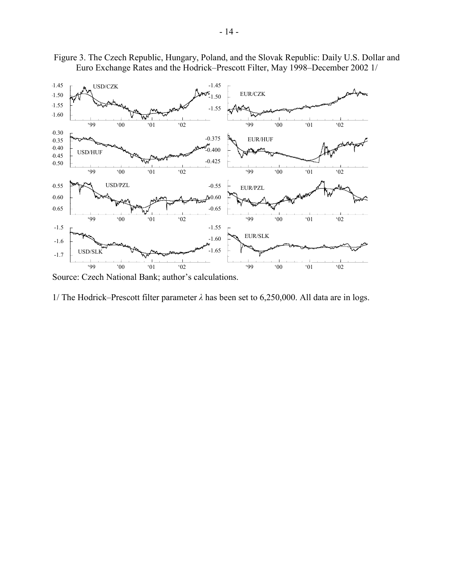



Source: Czech National Bank; author's calculations.

1/ The Hodrick–Prescott filter parameter *λ* has been set to 6,250,000. All data are in logs.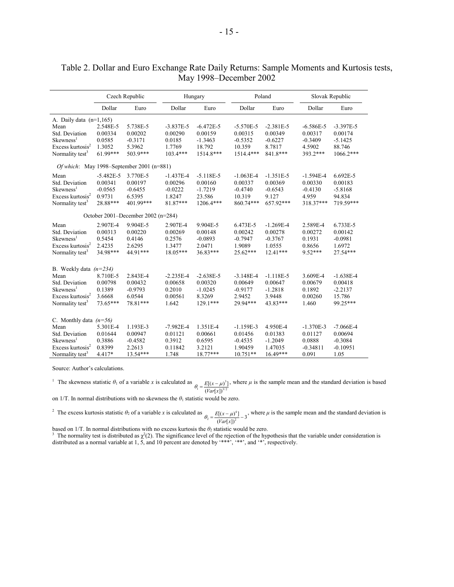|                                                                                                                                            |                                                           | Czech Republic                                          | Hungary                                                   |                                                             |                                                              | Poland                                                        |                                                           | Slovak Republic                                             |
|--------------------------------------------------------------------------------------------------------------------------------------------|-----------------------------------------------------------|---------------------------------------------------------|-----------------------------------------------------------|-------------------------------------------------------------|--------------------------------------------------------------|---------------------------------------------------------------|-----------------------------------------------------------|-------------------------------------------------------------|
|                                                                                                                                            | Dollar                                                    | Euro                                                    | Dollar                                                    | Euro                                                        | Dollar                                                       | Euro                                                          | Dollar                                                    | Euro                                                        |
| A. Daily data $(n=1,165)$                                                                                                                  |                                                           |                                                         |                                                           |                                                             |                                                              |                                                               |                                                           |                                                             |
| Mean<br>Std. Deviation<br>Skewness <sup>1</sup>                                                                                            | 2.548E-5<br>0.00334<br>0.0585                             | 5.738E-5<br>0.00202<br>$-0.3171$                        | $-3.837E-5$<br>0.00290<br>0.0185                          | $-6.472E-5$<br>0.00159<br>$-1.3463$                         | $-5.570E - 5$<br>0.00315<br>$-0.5352$                        | $-2.381E-5$<br>0.00349<br>$-0.6227$                           | $-6.586E - 5$<br>0.00317<br>$-0.3409$                     | $-3.397E-5$<br>0.00174<br>$-5.1425$                         |
| Excess kurtosis <sup>2</sup><br>Normality test <sup>3</sup>                                                                                | 1.3052<br>$61.99***$                                      | 5.3962<br>503.9***                                      | 1.7769<br>$103.4***$                                      | 18.792<br>1514.8***                                         | 10.359<br>1514.4***                                          | 8.7817<br>841.8***                                            | 4.5902<br>393.2***                                        | 88.746<br>$1066.2***$                                       |
| Of which: May 1998–September 2001 (n=881)                                                                                                  |                                                           |                                                         |                                                           |                                                             |                                                              |                                                               |                                                           |                                                             |
| Mean<br>Std. Deviation<br>Skewness <sup>1</sup><br>Excess kurtosis <sup>2</sup><br>Normality test <sup>3</sup>                             | $-5.482E-5$<br>0.00341<br>$-0.0565$<br>0.9731<br>28.88*** | 3.770E-5<br>0.00197<br>$-0.6455$<br>6.5395<br>401.99*** | $-1.437E-4$<br>0.00296<br>$-0.0222$<br>1.8247<br>81.87*** | $-5.118E-5$<br>0.00160<br>$-1.7219$<br>23.586<br>1206.4***  | $-1.063E-4$<br>0.00337<br>$-0.4740$<br>10.319<br>860.74***   | $-1.351E-5$<br>0.00369<br>$-0.6543$<br>9.127<br>657.92***     | $-1.594E-4$<br>0.00330<br>$-0.4130$<br>4.959<br>318.37*** | 6.692E-5<br>0.00183<br>$-5.8168$<br>94.834<br>719.59***     |
|                                                                                                                                            |                                                           | October 2001–December 2002 (n=284)                      |                                                           |                                                             |                                                              |                                                               |                                                           |                                                             |
| Mean<br>Std. Deviation<br>Skewness <sup>1</sup><br>Excess kurtosis <sup>2</sup><br>Normality test <sup>3</sup>                             | 2.907E-4<br>0.00313<br>0.5454<br>2.4235<br>34.98***       | 9.904E-5<br>0.00220<br>0.4146<br>2.6295<br>44.91***     | 2.907E-4<br>0.00269<br>0.2576<br>1.3477<br>18.05***       | 9.904E-5<br>0.00148<br>$-0.0893$<br>2.0471<br>36.83***      | 6.473E-5<br>0.00242<br>$-0.7947$<br>1.9089<br>25.62***       | $-1.269E - 4$<br>0.00278<br>$-0.3767$<br>1.0555<br>$12.41***$ | 2.589E-4<br>0.00272<br>0.1931<br>0.8656<br>9.52***        | 6.733E-5<br>0.00142<br>$-0.0981$<br>1.6972<br>27.54***      |
| B. Weekly data $(n=234)$                                                                                                                   |                                                           |                                                         |                                                           |                                                             |                                                              |                                                               |                                                           |                                                             |
| Mean<br>Std. Deviation<br>Skewness <sup>1</sup><br>Excess kurtosis <sup>2</sup><br>Normality test <sup>3</sup>                             | 8.710E-5<br>0.00798<br>0.1389<br>3.6668<br>73.65***       | 2.843E-4<br>0.00432<br>$-0.9793$<br>6.0544<br>78.81***  | $-2.235E-4$<br>0.00658<br>0.2010<br>0.00561<br>1.642      | $-2.638E - 5$<br>0.00320<br>$-1.0245$<br>8.3269<br>129.1*** | $-3.148E - 4$<br>0.00649<br>$-0.9177$<br>2.9452<br>29.94***  | $-1.118E-5$<br>0.00647<br>$-1.2818$<br>3.9448<br>43.83***     | 3.609E-4<br>0.00679<br>0.1892<br>0.00260<br>1.460         | $-1.638E-4$<br>0.00418<br>$-2.2137$<br>15.786<br>99.25***   |
| C. Monthly data $(n=56)$<br>Mean<br>Std. Deviation<br>Skewness <sup>1</sup><br>Excess kurtosis <sup>2</sup><br>Normality test <sup>3</sup> | 5.301E-4<br>0.01644<br>0.3886<br>0.8399<br>4.417*         | 1.193E-3<br>0.00947<br>$-0.4582$<br>2.2613<br>13.54***  | $-7.982E - 4$<br>0.01121<br>0.3912<br>0.11842<br>1.748    | 1.351E-4<br>0.00661<br>0.6595<br>3.2121<br>18.77***         | $-1.159E-3$<br>0.01456<br>$-0.4535$<br>1.90459<br>$10.751**$ | 4.950E-4<br>0.01383<br>$-1.2049$<br>1.47035<br>$16.49***$     | $-1.370E-3$<br>0.01127<br>0.0888<br>$-0.34811$<br>0.091   | $-7.066E - 4$<br>0.00694<br>$-0.3084$<br>$-0.10951$<br>1.05 |

# Table 2. Dollar and Euro Exchange Rate Daily Returns: Sample Moments and Kurtosis tests, May 1998–December 2002

Source: Author's calculations.

<sup>1</sup> The skewness statistic  $\theta_1$  of a variable *x* is calculated as  $\theta_1 = \frac{E[(x-\mu)^3]}{(Var[\mu]^3]^2}$ 3  $\overline{Var[x]}$  $[(x - \mu)^3]$  $\theta_1 = \frac{E[(x - \mu)^3]}{(Var[x])^{3/2}}$ , where  $\mu$  is the sample mean and the standard deviation is based

on 1/T. In normal distributions with no skewness the  $\theta_1$  statistic would be zero.

<sup>2</sup> The excess kurtosis statistic  $\theta_2$  of a variable *x* is calculated as  $\theta_2 = \frac{E[(x - \mu)^4]}{(Var[x])^2} - 3$  $\frac{\left[ \left( x-\mu \right)^4\right] }{\left( \frac{U \cos \left( x\right) \right)^2}{2}}$  $\theta_2 = \frac{E[(x - \mu)^4]}{(Var[x])^2} - 3$ , where  $\mu$  is the sample mean and the standard deviation is

based on 1/T. In normal distributions with no excess kurtosis the  $\theta_2$  statistic would be zero.<br><sup>3</sup> The normality test is distributed as  $\chi^2(2)$ . The significance level of the rejection of the hypothesis that the vari distributed as a normal variable at 1, 5, and 10 percent are denoted by '\*\*\*', '\*\*', and '\*', respectively.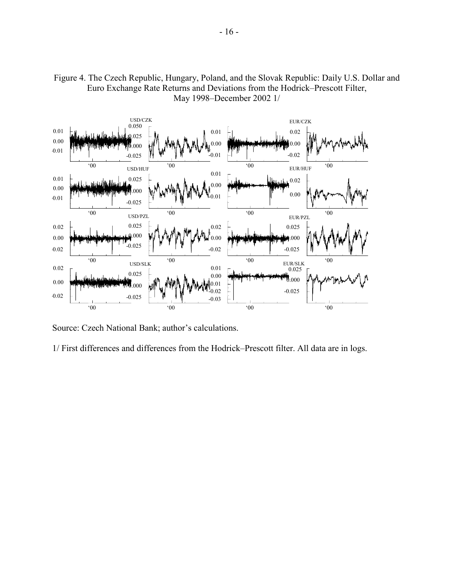

Figure 4. The Czech Republic, Hungary, Poland, and the Slovak Republic: Daily U.S. Dollar and Euro Exchange Rate Returns and Deviations from the Hodrick–Prescott Filter, May 1998–December 2002 1/

Source: Czech National Bank; author's calculations.

1/ First differences and differences from the Hodrick–Prescott filter. All data are in logs.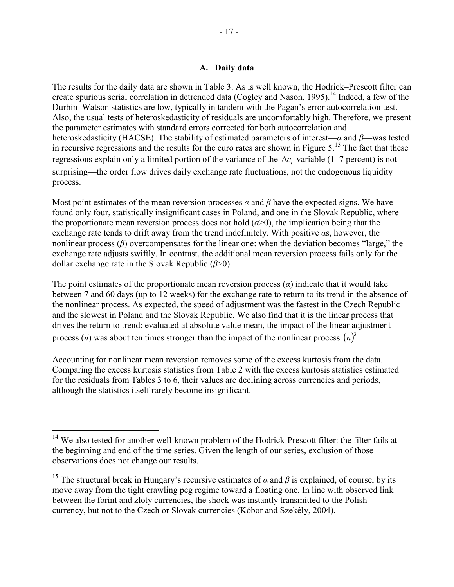### **A. Daily data**

The results for the daily data are shown in Table 3. As is well known, the Hodrick–Prescott filter can create spurious serial correlation in detrended data (Cogley and Nason, 1995).<sup>14</sup> Indeed, a few of the Durbin–Watson statistics are low, typically in tandem with the Pagan's error autocorrelation test. Also, the usual tests of heteroskedasticity of residuals are uncomfortably high. Therefore, we present the parameter estimates with standard errors corrected for both autocorrelation and heteroskedasticity (HACSE). The stability of estimated parameters of interest—*α* and *β*—was tested in recursive regressions and the results for the euro rates are shown in Figure  $5$ .<sup>15</sup> The fact that these regressions explain only a limited portion of the variance of the ∆*e*, variable (1–7 percent) is not surprising—the order flow drives daily exchange rate fluctuations, not the endogenous liquidity process.

Most point estimates of the mean reversion processes  $\alpha$  and  $\beta$  have the expected signs. We have found only four, statistically insignificant cases in Poland, and one in the Slovak Republic, where the proportionate mean reversion process does not hold  $(a>0)$ , the implication being that the exchange rate tends to drift away from the trend indefinitely. With positive *α*s, however, the nonlinear process (*β*) overcompensates for the linear one: when the deviation becomes "large," the exchange rate adjusts swiftly. In contrast, the additional mean reversion process fails only for the dollar exchange rate in the Slovak Republic (*β*>0).

The point estimates of the proportionate mean reversion process  $\alpha$ ) indicate that it would take between 7 and 60 days (up to 12 weeks) for the exchange rate to return to its trend in the absence of the nonlinear process. As expected, the speed of adjustment was the fastest in the Czech Republic and the slowest in Poland and the Slovak Republic. We also find that it is the linear process that drives the return to trend: evaluated at absolute value mean, the impact of the linear adjustment process (*n*) was about ten times stronger than the impact of the nonlinear process  $(n)^3$ .

Accounting for nonlinear mean reversion removes some of the excess kurtosis from the data. Comparing the excess kurtosis statistics from Table 2 with the excess kurtosis statistics estimated for the residuals from Tables 3 to 6, their values are declining across currencies and periods, although the statistics itself rarely become insignificant.

<sup>&</sup>lt;sup>14</sup> We also tested for another well-known problem of the Hodrick-Prescott filter: the filter fails at the beginning and end of the time series. Given the length of our series, exclusion of those observations does not change our results.

<sup>&</sup>lt;sup>15</sup> The structural break in Hungary's recursive estimates of  $\alpha$  and  $\beta$  is explained, of course, by its move away from the tight crawling peg regime toward a floating one. In line with observed link between the forint and zloty currencies, the shock was instantly transmitted to the Polish currency, but not to the Czech or Slovak currencies (Kóbor and Szekély, 2004).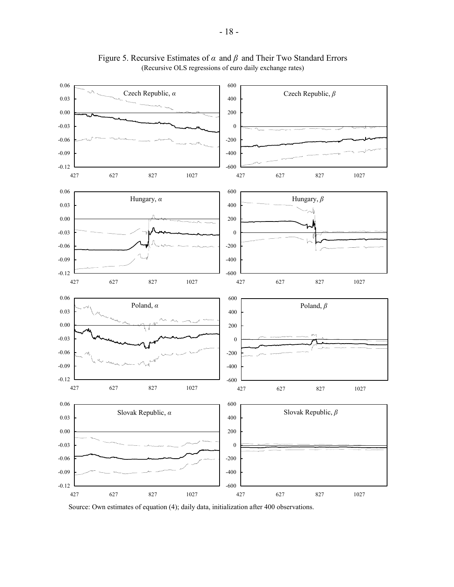

Figure 5. Recursive Estimates of *α* and *β* and Their Two Standard Errors (Recursive OLS regressions of euro daily exchange rates)

Source: Own estimates of equation (4); daily data, initialization after 400 observations.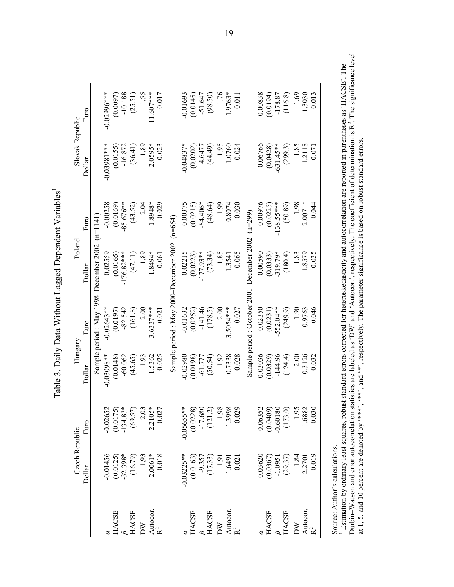| bel ute /                                                                                                              |  |
|------------------------------------------------------------------------------------------------------------------------|--|
| - 2222                                                                                                                 |  |
| )<br> <br> <br>֧֧֧֧֧֧֧֧֧֧֧֧֧֧֧֦֧֧֧֧֧֛֧֧֧֧֧֧֧֧֧֧֧֧֧֧֧֧֧֧֚֚֚֚֚֚֚֚֚֚֚֚֚֚֚֚֚֚֚֚֚֚֚֚֝֝֓֝֟֓֝֟֝֓֝֓֝֓֜֜֝֓֜֝֓֜֝֜֝֬֝֝            |  |
| $\sim$ $\frac{1}{4}$ $\frac{1}{4}$ $\frac{1}{4}$ $\frac{1}{4}$ $\frac{1}{4}$ $\frac{1}{4}$ $\frac{1}{4}$ $\frac{1}{4}$ |  |
| いいこ<br>I., L                                                                                                           |  |
| .<br>.<br>.<br>$\overline{1}$ D <sub>o</sub><br>י<br>גע                                                                |  |
| $\frac{1}{2}$<br>l                                                                                                     |  |

|                    | Czech Republic                                      |                                                                                         | Hungary<br>$\mathsf{l}$ |              | Poland                                          |              | Slovak Republic |               |
|--------------------|-----------------------------------------------------|-----------------------------------------------------------------------------------------|-------------------------|--------------|-------------------------------------------------|--------------|-----------------|---------------|
|                    | Dollar                                              | Euro                                                                                    | Dollar                  | Euro         | Dollar                                          | Euro         | Dollar          | Euro          |
|                    |                                                     |                                                                                         |                         |              | Sample period : May 1998–December 2002 (n=1141) |              |                 |               |
|                    |                                                     |                                                                                         | $-0.03098**$            | $-0.02643**$ | 0.02559                                         | $-0.00258$   | $-0.03981***$   | $-0.02996***$ |
|                    |                                                     |                                                                                         | (0.0148)                | (0.0197)     | (0.0165)                                        | (0.0169)     | (0.0155)        | (0.0097)      |
|                    |                                                     |                                                                                         | $-60.062$               | $-82.542$    | $-176.82***$                                    | $-85.676**$  | $-16.872$       | $-10.188$     |
|                    | $-0.01456$<br>$(0.0125)$<br>$-32.398*$<br>$(16.79)$ | $-0.02652$<br>$(0.0175)$<br>$-134.83*$<br>$(69.57)$                                     | (45.65)                 | (161.8)      | (47.11)                                         | (43.52)      | (36.41)         | (25.51)       |
|                    |                                                     |                                                                                         | 1.93                    | 2.00         | 1.89                                            | 2.04         | 1.89            | 1.55          |
|                    |                                                     |                                                                                         | 1.5362                  | $3.6337***$  | $-8494*$                                        | 1.8948*      | 2.0595*         | $11.607***$   |
|                    | $1.93$<br>$2.0061*$<br>$0.018$                      | $2.03$<br>$2.2105*$<br>$0.027$                                                          | 0.025                   | 0.021        | 0.061                                           | 0.029        | 0.023           | 0.017         |
|                    |                                                     |                                                                                         |                         |              | Sample period : May 2000-December 2002          | $(n=654)$    |                 |               |
|                    |                                                     | $-0.0565$ **<br>$(0.0228)$<br>$-17.680$<br>$(121.2)$<br>$1.988$<br>$1.9998$<br>$1.3998$ | $-0.02980$              | $-0.01632$   | 0.02215                                         | 0.00375      | $-0.04837*$     | $-0.01693$    |
|                    |                                                     |                                                                                         | (0.0198)                | (0.0252)     | (0.0223)                                        | (0.0215)     | (0.0202)        | (0.0145)      |
|                    |                                                     |                                                                                         | $-61.777$               | $-141.46$    | $-177.93**$                                     | $-84.406*$   | 4.6477          | $-51.647$     |
|                    | $-0.03225**$<br>$(0.0163)$<br>$-9.357$<br>$-1.33$   |                                                                                         | (50.54)                 | (178.5)      | (73.34)                                         | (48.64)      | (44.49)         | (98.50)       |
|                    |                                                     |                                                                                         | 1.92                    | 2.00         | 1.85                                            | 1.99         | 1.95            | 1.76          |
|                    |                                                     |                                                                                         | 0.7338                  | 3.5054****   | 1.3541                                          | 0.8074       | 1.0760          | $1.9763*$     |
|                    | $1.91$<br>$1.6491$<br>$0.021$                       |                                                                                         | 0.028                   | 0.027        | 0.065                                           | 0.030        | 0.024           | 0.011         |
|                    |                                                     |                                                                                         |                         |              | Sample period : October 2001-December 2002      | $(n=299)$    |                 |               |
|                    |                                                     |                                                                                         | $-0.03036$              | $-0.02350$   | $-0.00590$                                      | 0.00976      | $-0.06766$      | 0.00838       |
|                    |                                                     |                                                                                         | (0.0329)                | (0.0231)     | (0.0333)                                        | (0.0225)     | (0.0428)        | (0.0194)      |
|                    |                                                     |                                                                                         | $-144.96$               | $-552.04**$  | $-319.79*$                                      | $-138.55***$ | $-631.45***$    | $-178.87$     |
|                    | $-0.03620$<br>$(0.0367)$<br>$-1.0951$<br>$(29.37)$  |                                                                                         | (124.4)                 | (249.9)      | (180.4)                                         | (50.89)      | (299.3)         | (116.8)       |
|                    |                                                     | $-0.06352$<br>$(0.0409)$<br>$-0.60180$<br>$(173.0)$<br>$1.95$<br>$1.95$                 | 2.00                    | 1.90         | 1.83                                            | 1.98         | 1.85            | 1.69          |
| Autocor.<br>R $^2$ |                                                     |                                                                                         | 0.3126                  | 0.9763       | .8579                                           | $2.0071*$    | 1.2118          | 1.3030        |
|                    | $\frac{1.84}{2.2701}$                               | 0.030                                                                                   | 0.032                   | 0.046        | 0.035                                           | 0.044        | 0.071           | 0.013         |

Source: Author's calculations.

Source: Author's calculations.<br><sup>1</sup> Estimation by ordinary least squares, robust standard errors corrected for heteroskedasticity and autocorrelation are reported in parentheses as 'HACSE'. The<br>Durbin–Watson and error auto Durbin–Watson and error autocorrelation statistics are labeled as 'DW' and 'Autocor.', respectively. The coefficient of determination is  $R^2$ . The significance level 1 Estimation by ordinary least squares, robust standard errors corrected for heteroskedasticity and autocorrelation are reported in parentheses as 'HACSE'. The at 1, 5, and 10 percent are denoted by '\*\*\*', '\*\*', and '\*', respectively. The parameter significance is based on robust standard errors.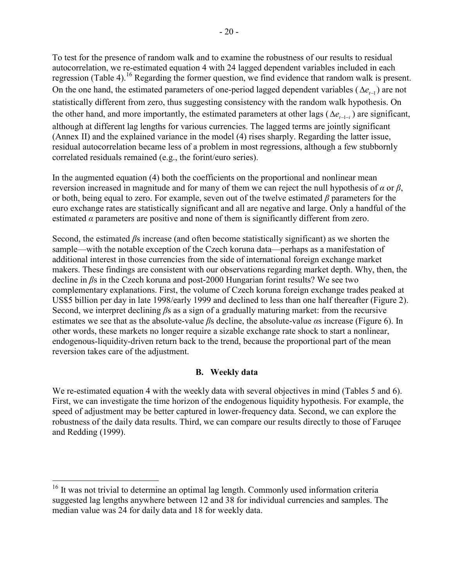To test for the presence of random walk and to examine the robustness of our results to residual autocorrelation, we re-estimated equation 4 with 24 lagged dependent variables included in each regression (Table 4).<sup>16</sup> Regarding the former question, we find evidence that random walk is present. On the one hand, the estimated parameters of one-period lagged dependent variables ( $\Delta e_{f-1}$ ) are not statistically different from zero, thus suggesting consistency with the random walk hypothesis. On the other hand, and more importantly, the estimated parameters at other lags ( $\Delta e_{t-1-i}$ ) are significant, although at different lag lengths for various currencies. The lagged terms are jointly significant (Annex II) and the explained variance in the model (4) rises sharply. Regarding the latter issue, residual autocorrelation became less of a problem in most regressions, although a few stubbornly correlated residuals remained (e.g., the forint/euro series).

In the augmented equation (4) both the coefficients on the proportional and nonlinear mean reversion increased in magnitude and for many of them we can reject the null hypothesis of *α* or *β*, or both, being equal to zero. For example, seven out of the twelve estimated *β* parameters for the euro exchange rates are statistically significant and all are negative and large. Only a handful of the estimated  $\alpha$  parameters are positive and none of them is significantly different from zero.

Second, the estimated *β*s increase (and often become statistically significant) as we shorten the sample—with the notable exception of the Czech koruna data—perhaps as a manifestation of additional interest in those currencies from the side of international foreign exchange market makers. These findings are consistent with our observations regarding market depth. Why, then, the decline in *β*s in the Czech koruna and post-2000 Hungarian forint results? We see two complementary explanations. First, the volume of Czech koruna foreign exchange trades peaked at US\$5 billion per day in late 1998/early 1999 and declined to less than one half thereafter (Figure 2). Second, we interpret declining *β*s as a sign of a gradually maturing market: from the recursive estimates we see that as the absolute-value *β*s decline, the absolute-value *α*s increase (Figure 6). In other words, these markets no longer require a sizable exchange rate shock to start a nonlinear, endogenous-liquidity-driven return back to the trend, because the proportional part of the mean reversion takes care of the adjustment.

# **B. Weekly data**

We re-estimated equation 4 with the weekly data with several objectives in mind (Tables 5 and 6). First, we can investigate the time horizon of the endogenous liquidity hypothesis. For example, the speed of adjustment may be better captured in lower-frequency data. Second, we can explore the robustness of the daily data results. Third, we can compare our results directly to those of Faruqee and Redding (1999).

<sup>&</sup>lt;sup>16</sup> It was not trivial to determine an optimal lag length. Commonly used information criteria suggested lag lengths anywhere between 12 and 38 for individual currencies and samples. The median value was 24 for daily data and 18 for weekly data.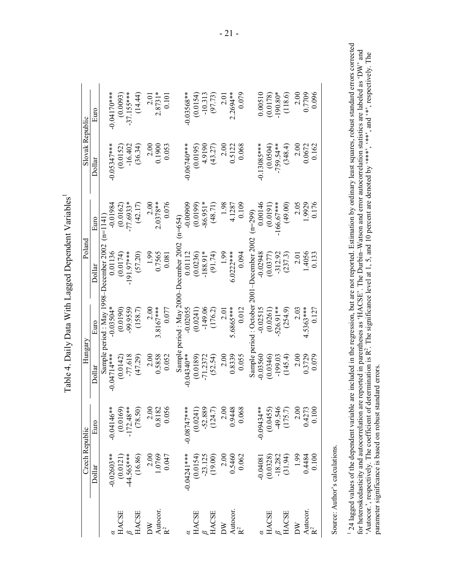|                                                                                                       | Czech Republic                                          |                                                                                          | Hungary       |                           | Poland                                 |                         | Slovak Republic |                          |
|-------------------------------------------------------------------------------------------------------|---------------------------------------------------------|------------------------------------------------------------------------------------------|---------------|---------------------------|----------------------------------------|-------------------------|-----------------|--------------------------|
|                                                                                                       | Dollar                                                  | Euro                                                                                     | Dollar        | Euro                      | Dollar                                 | Euro                    | Dollar          | Éшо                      |
|                                                                                                       |                                                         |                                                                                          |               |                           | Sample period : May 1998-December 2002 | $(n=1141)$              |                 |                          |
|                                                                                                       |                                                         |                                                                                          | $-0.04714***$ | $-0.03504*$               | 0.01136                                | $-0.01984$              | $-0.05347***$   | $-0.04170$ ***           |
| <b>HACSE</b>                                                                                          |                                                         |                                                                                          | (0.0142)      | (0.0190)                  | (0.0174)                               |                         | (0.0152)        |                          |
|                                                                                                       |                                                         |                                                                                          | $-77.618$     | $-99.9559$                | $-191.97***$                           | $(0.0162)$<br>-77.6933* | $-16.402$       | $(0.0093)$<br>-37.155*** |
| 3<br>IACSE                                                                                            | $-0.02603**$<br>$(0.0121)$<br>$-44.565***$<br>$(16.86)$ | $-0.04146**$<br>$(0.0169)$<br>$-172.48**$<br>$(78.50)$                                   | (47.29)       | (158.7)                   | (57.20)                                | (42.17)                 | (36.34)         | (14.44)                  |
| DW                                                                                                    |                                                         |                                                                                          | 2.00          | 2.00                      | 1.99                                   | 2.00                    | 2.00            | 2.01                     |
| Autocor.<br>$R^2$                                                                                     | 2.00<br>1.0769                                          |                                                                                          | 0.5858        | $3.8167***$               | 0.7565                                 | $2.0378**$              | 0.1900          | $2.8731*$                |
|                                                                                                       | 0.047                                                   | $\begin{array}{c} 2.00 \\ 0.8182 \\ 0.056 \end{array}$                                   | 0.052         | 0.077                     | 0.081                                  | 0.076                   | 0.053           | 0.101                    |
|                                                                                                       |                                                         |                                                                                          |               | Sample period: May 2000   | becember 2002                          | $(n=654)$               |                 |                          |
|                                                                                                       |                                                         |                                                                                          | $-0.04340**$  | $-0.02055$                | 0.01112                                | $-0.00909$              | $-0.06740***$   | $-0.03568**$             |
| $\begin{array}{l} \begin{array}{l} \textrm{HACSE} \\ \beta \\ \textrm{HACSE} \end{array} \end{array}$ |                                                         |                                                                                          | (0.0189)      | (0.0241)                  | (0.0236)                               | (0.0199)                | (0.0195)        | (0.0154)                 |
|                                                                                                       |                                                         |                                                                                          | $-71.2372$    | $-149.06$                 | $-188.91*$                             | $-86.951*$              | 4.9190          | $-10.313$                |
|                                                                                                       | $-0.04241$ ***<br>$(0.0154)$<br>$-23.125$<br>$(19.00)$  |                                                                                          | (52.54)       | (176.2)                   | (91.74)                                | (48.71)                 | (43.27)         | (97.73)                  |
| DW                                                                                                    | $2.00$<br>$0.5460$                                      |                                                                                          | 2.00          | 2.01                      | 1.99                                   | 1.98                    | 2.00            | 2.01                     |
|                                                                                                       |                                                         |                                                                                          | 0.8339        | 5.6865***                 | $6.0222***$                            | 4.1287                  | 0.5122          | 2.2694 **                |
| Autocor.<br>$R^2$                                                                                     | 0.062                                                   | $-0.08747***$<br>$(0.0241)$<br>$-52.889$<br>$-52.889$<br>$(124.7)$<br>$2.00$<br>$0.9448$ | 0.055         | 0.012                     | 0.094                                  | 0.109                   | 0.068           | 0.079                    |
|                                                                                                       |                                                         |                                                                                          |               | Sample period : October . | <b>December 2002</b>                   | $(n=299)$               |                 |                          |
|                                                                                                       | $-0.04081$                                              |                                                                                          | $-0.03560$    | $-0.02515$                | $-0.02948$                             | 0.00146                 | $-0.13085***$   | 0.00510                  |
| <b>HACSE</b>                                                                                          |                                                         |                                                                                          | (0.0346)      | (0.0261)                  |                                        | (0.0191)                | (0.0504)        | (0.0178)                 |
|                                                                                                       |                                                         |                                                                                          | $-199.03$     | $-526.91**$               | $(0.0377)$<br>$-312.92$                | $-166.67***$            | $-759.54**$     | $-190.80*$               |
| $\beta$ HACSE                                                                                         | $(0.0328)$<br>-18.282<br>-18.282                        | $(175.7)$<br>(0.0455)<br>(455)<br>(175.7)                                                | (145.4)       | (254.9)                   | (237.3)                                | (49.00)                 | (348.4)         | (118.6)                  |
| DΨ                                                                                                    |                                                         |                                                                                          | 2.00          | 2.03                      | 2.01                                   | 2.05                    | 2.00            | 2.00                     |
|                                                                                                       | $0.199$<br>0.4484<br>0.100                              | $\begin{array}{c} 2.00 \\ 0.4273 \\ 0.100 \end{array}$                                   | 0.3729        | 4.5363***                 | .4056                                  | 1.9929                  | 0.0672          | 0.7709                   |
| Autocor.<br>$R^2$                                                                                     |                                                         |                                                                                          | 0.079         | 0.127                     | 0.133                                  | 0.176                   | 0.162           | 0.096                    |

Table 4. Daily Data With Lagged Dependent Variables1 Table 4. Daily Data With Lagged Dependent Variables<sup>1</sup>

> Source: Author's calculations. Source: Author's calculations.

 $1$  24 lagged values of the dependent variable are included in the regression, but are not reported. Estimation by ordinary least squares, robust standard errors corrected for heteroskedasticity and autocorrelation statis <sup>1</sup> 24 lagged values of the dependent variable are included in the regression, but are not reported. Estimation by ordinary least squares, robust standard errors corrected for heteroskedasticity and autocorrelation are reported in parentheses as 'HACSE'. The Durbin–Watson and error autocorrelation statistics are labeled as 'DW' and 'Autocor.', respectively. The coefficient of determination is R<sup>2</sup>. The significance level at 1, 5, and 10 percent are denoted by '\*\*\*, ", and '\*, respectively. The 'Autocor.', respectively. The coefficient of determination is R<sup>2</sup>. The significance level at 1, 5, and 10 percent are denoted by '\*\*\*', ", and '\*', respectively. The parameter significance is based on robust standard errors. parameter significance is based on robust standard errors.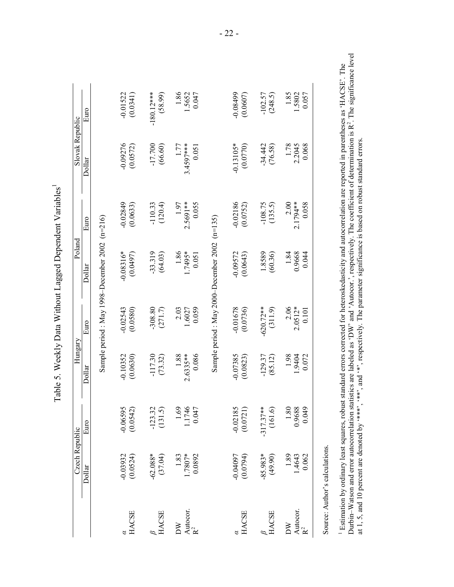|                                       | Czech Republic              |                                                        | Hungary                       |                            | Poland                                         |                            | Slovak Republic            |                         |
|---------------------------------------|-----------------------------|--------------------------------------------------------|-------------------------------|----------------------------|------------------------------------------------|----------------------------|----------------------------|-------------------------|
|                                       | Dollar                      | Euro                                                   | Dollar                        | Euro                       | Dollar                                         | Euro                       | Dollar                     | Euro                    |
|                                       |                             |                                                        |                               |                            | Sample period : May 1998-December 2002 (n=216) |                            |                            |                         |
| <b>HACSE</b>                          | $-0.03932$<br>(0.0524)      | $-0.06595$<br>(0.0542)                                 | $-0.10352$<br>(0.0630)        | $-0.02543$<br>(0.0580)     | $-0.08316*$<br>(0.0497)                        | $-0.02849$<br>(0.0633)     | $-0.09276$<br>(0.0572)     | $-0.01522$<br>(0.0341)  |
| <b>HACSE</b>                          | $-62.088*$<br>(37.04)       | $-123.32$<br>(131.5)                                   | $-117.30$<br>(73.32)          | $-308.80$<br>(271.7)       | $-33.319$<br>(64.03)                           | $-110.33$<br>(120.4)       | $-17.700$<br>(66.60)       | $-180.12***$<br>(68.96) |
| Autocor.<br>$R^2$<br>$\mathbb{N}$     | 0.0892<br>$1.83$<br>1.7807* | 1.69<br>1.1746<br>0.047                                | 0.086<br>$1.88$<br>$2.6335**$ | 0.059<br>2.03<br>1.6027    | 1.86<br>1.7495*<br>0.051                       | 2.5691**<br>1.97<br>0.055  | 3.4597***<br>1.77<br>0.051 | 1.86<br>1.5652<br>0.047 |
|                                       |                             |                                                        |                               |                            | Sample period : May 2000-December 2002 (n=135) |                            |                            |                         |
| <b>HACSE</b>                          | $-0.04097$<br>(0.0794)      | $-0.02185$<br>(0.0721)                                 | $-0.07385$<br>(0.0823)        | $-0.01678$<br>(0.0736)     | (0.0643)<br>$-0.09572$                         | $-0.02186$<br>(0.0752)     | $-0.13105*$<br>(0.0770)    | -0.08499<br>(0.0607)    |
| <b>HACSE</b>                          | $-85.983*$<br>(49.90)       | (161.6)<br>$-317.37***$                                | $-129.37$<br>(85.12)          | $-620.72**$<br>(311.9)     | 1.8589<br>(60.36)                              | $-108.75$<br>(135.5)       | $-34.442$<br>(76.58)       | (248.5)<br>$-102.57$    |
| Autocor.<br>$R^2$<br>$\sum_{i=1}^{n}$ | $1.89$<br>1.4643<br>0.062   | $\begin{array}{c} 1.80 \\ 0.9688 \\ 0.049 \end{array}$ | 1.98<br>1.9404<br>0.072       | 2.06<br>$2.0512*$<br>0.101 | 1.84<br>0.9668<br>0.044                        | 2.00<br>2.1794 **<br>0.058 | 0.068<br>1.78<br>2.2045    | 1.85<br>1.5802<br>0.057 |

 $\overline{\phantom{0}}$ Table 5. Weekly Data Without Lagged Dependent Variables<sup>1</sup>  $\frac{1}{2}$  $+17.$  $\frac{1}{2}$  $\frac{c}{\pi}$  $\frac{1}{2}$  $W_{i+1}$  $\cdot$  $\tilde{\mathsf{C}}$  $\frac{1}{2}$  $\overline{W}_a$  $\overline{u}$  $T_0$ 

<sup>1</sup> Estimation by ordinary least squares, robust standard errors corrected for heteroskedasticity and autocorrelation are reported in parentheses as 'HACSE'. The<br>Durbin–Watson and error autocorrelation statistics are labe Durbin–Watson and error autocorrelation statistics are labeled as 'DW' and 'Autocor.', respectively. The coefficient of determination is  $R^2$ . The significance level 1 Estimation by ordinary least squares, robust standard errors corrected for heteroskedasticity and autocorrelation are reported in parentheses as 'HACSE'. The at 1, 5, and 10 percent are denoted by '\*\*\*', '\*\*', and '\*', respectively. The parameter significance is based on robust standard errors.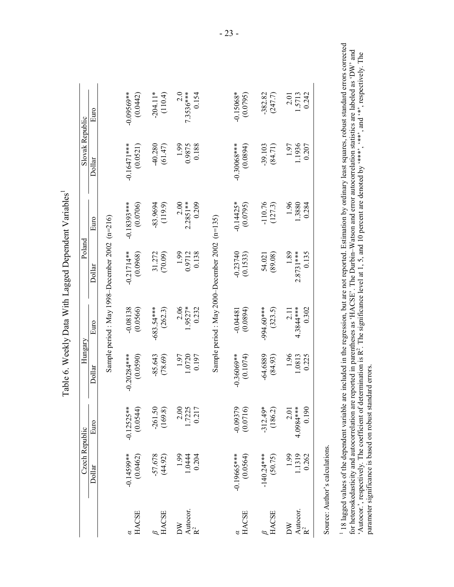| Czech Republic            |                              | Hungary                        |                              | Poland                                         |                             | Slovak Republic           |                          |
|---------------------------|------------------------------|--------------------------------|------------------------------|------------------------------------------------|-----------------------------|---------------------------|--------------------------|
| Dollar                    | Euro                         | $D$ ollar                      | Euro                         | Dollar                                         | Euro                        | Dollar                    | Euro                     |
|                           |                              |                                |                              | Sample period : May 1998-December 2002 (n=216) |                             |                           |                          |
| $-0.14599**$<br>(0.0462)  | $-0.12525**$<br>(0.0544)     | $-0.20284***$<br>(0.0590)      | $-0.08138$<br>(0.0566)       | $-0.21714**$<br>(0.0968)                       | $-0.18393***$<br>(0.0706)   | $-0.16471***$<br>(0.0521) | $-0.09569**$<br>(0.0442) |
| $-57.678$<br>(44.92)      | $-261.50$<br>$(169.8)$       | $-85.643$<br>(78.69)           | $-683.54***$<br>(262.3)      | (70.09)<br>31.272                              | (119.9)<br>$-83.9694$       | $40.280$<br>(61.47)       | $-204.11*$<br>(110.4)    |
| 1.0444<br>0.204           | 2.00<br>1.7225<br>0.217      | 1.97<br>1.0720<br>0.197        | $2.06$<br>1.9527*<br>0.232   | 0.138<br>1.99<br>0.9712                        | 2.00<br>$2.2851**$<br>0.209 | 0.188<br>1.99<br>0.9875   | $7.3536***$<br>0.154     |
|                           |                              |                                |                              | Sample period : May 2000-December 2002 (n=135) |                             |                           |                          |
| $-0.19665***$<br>(0.0564) | $-0.09379$<br>(0.0716)       | $-0.36069**$<br>(0.1074)       | (0.0894)<br>$-0.04481$       | $-0.23740$<br>(0.1533)                         | $-0.14425*$<br>(0.0795)     | $-0.30068***$<br>(0.0894) | $-0.15068*$<br>(0.0795)  |
| $-140.24***$<br>(50.75)   | $-312.49*$<br>(186.2)        | $-64.6889$<br>(84.93)          | -994.60***<br>(323.5)        | (89.08)<br>54.021                              | $-110.76$<br>(127.3)        | $-39.103$<br>$(84.71)$    | $-382.82$<br>(247.7)     |
| 1.99<br>1.1319<br>0.262   | 0.190<br>$2.01$<br>4.0984*** | $\frac{1.96}{1.0813}$<br>0.225 | $4.3844***$<br>0.302<br>2.11 | $1.89$<br>2.8731***<br>0.135                   | 1.96<br>1.3880<br>0.284     | 1.1936<br>1.97<br>0.207   | 0.242<br>2.01<br>1.5713  |

<sup>1</sup> 18 lagged values of the dependent variable are included in the regression, but are not reported. Estimation by ordinary least squares, robust standard errors corrected for heteroskedasticity and autocorrelation are re 18 lagged values of the dependent variable are included in the regression, but are not reported. Estimation by ordinary least squares, robust standard errors corrected for heteroskedasticity and autocorrelation are reported in parentheses as 'HACSE'. The Durbin–Watson and error autocorrelation statistics are labeled as 'DW' and 'Autocor.', respectively. The coefficient of determination is R<sup>2</sup>. The significance level at 1, 5, and 10 percent are denoted by '\*\*\*', ", and '\*', respectively. The parameter significance is based on robust standard errors. parameter significance is based on robust standard errors.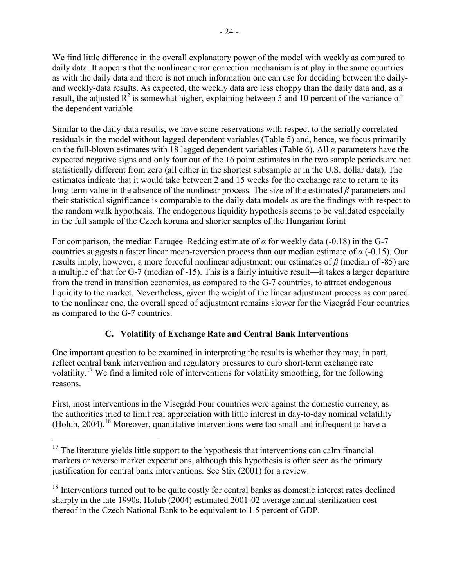We find little difference in the overall explanatory power of the model with weekly as compared to daily data. It appears that the nonlinear error correction mechanism is at play in the same countries as with the daily data and there is not much information one can use for deciding between the dailyand weekly-data results. As expected, the weekly data are less choppy than the daily data and, as a result, the adjusted  $R^2$  is somewhat higher, explaining between 5 and 10 percent of the variance of the dependent variable

Similar to the daily-data results, we have some reservations with respect to the serially correlated residuals in the model without lagged dependent variables (Table 5) and, hence, we focus primarily on the full-blown estimates with 18 lagged dependent variables (Table 6). All *α* parameters have the expected negative signs and only four out of the 16 point estimates in the two sample periods are not statistically different from zero (all either in the shortest subsample or in the U.S. dollar data). The estimates indicate that it would take between 2 and 15 weeks for the exchange rate to return to its long-term value in the absence of the nonlinear process. The size of the estimated *β* parameters and their statistical significance is comparable to the daily data models as are the findings with respect to the random walk hypothesis. The endogenous liquidity hypothesis seems to be validated especially in the full sample of the Czech koruna and shorter samples of the Hungarian forint

For comparison, the median Faruqee–Redding estimate of  $\alpha$  for weekly data (-0.18) in the G-7 countries suggests a faster linear mean-reversion process than our median estimate of *α* (-0.15). Our results imply, however, a more forceful nonlinear adjustment: our estimates of *β* (median of -85) are a multiple of that for G-7 (median of -15). This is a fairly intuitive result—it takes a larger departure from the trend in transition economies, as compared to the G-7 countries, to attract endogenous liquidity to the market. Nevertheless, given the weight of the linear adjustment process as compared to the nonlinear one, the overall speed of adjustment remains slower for the Visegrád Four countries as compared to the G-7 countries.

# **C. Volatility of Exchange Rate and Central Bank Interventions**

One important question to be examined in interpreting the results is whether they may, in part, reflect central bank intervention and regulatory pressures to curb short-term exchange rate volatility.17 We find a limited role of interventions for volatility smoothing, for the following reasons.

First, most interventions in the Visegrád Four countries were against the domestic currency, as the authorities tried to limit real appreciation with little interest in day-to-day nominal volatility (Holub, 2004).<sup>18</sup> Moreover, quantitative interventions were too small and infrequent to have a

 $17$  The literature yields little support to the hypothesis that interventions can calm financial markets or reverse market expectations, although this hypothesis is often seen as the primary justification for central bank interventions. See Stix (2001) for a review.

<sup>&</sup>lt;sup>18</sup> Interventions turned out to be quite costly for central banks as domestic interest rates declined sharply in the late 1990s. Holub (2004) estimated 2001-02 average annual sterilization cost thereof in the Czech National Bank to be equivalent to 1.5 percent of GDP.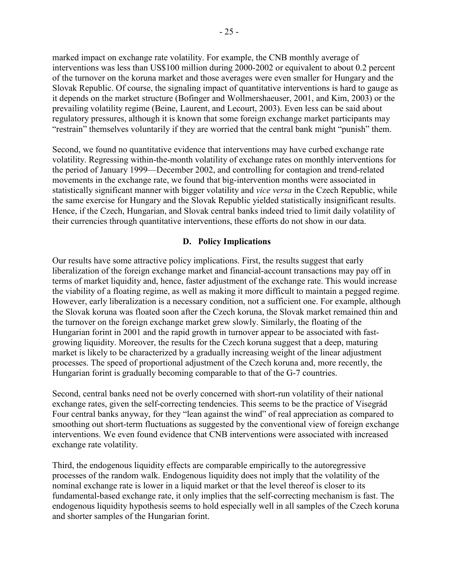marked impact on exchange rate volatility. For example, the CNB monthly average of interventions was less than US\$100 million during 2000-2002 or equivalent to about 0.2 percent of the turnover on the koruna market and those averages were even smaller for Hungary and the Slovak Republic. Of course, the signaling impact of quantitative interventions is hard to gauge as it depends on the market structure (Bofinger and Wollmershaeuser, 2001, and Kim, 2003) or the prevailing volatility regime (Beine, Laurent, and Lecourt, 2003). Even less can be said about regulatory pressures, although it is known that some foreign exchange market participants may "restrain" themselves voluntarily if they are worried that the central bank might "punish" them.

Second, we found no quantitative evidence that interventions may have curbed exchange rate volatility. Regressing within-the-month volatility of exchange rates on monthly interventions for the period of January 1999—December 2002, and controlling for contagion and trend-related movements in the exchange rate, we found that big-intervention months were associated in statistically significant manner with bigger volatility and *vice versa* in the Czech Republic, while the same exercise for Hungary and the Slovak Republic yielded statistically insignificant results. Hence, if the Czech, Hungarian, and Slovak central banks indeed tried to limit daily volatility of their currencies through quantitative interventions, these efforts do not show in our data.

# **D. Policy Implications**

Our results have some attractive policy implications. First, the results suggest that early liberalization of the foreign exchange market and financial-account transactions may pay off in terms of market liquidity and, hence, faster adjustment of the exchange rate. This would increase the viability of a floating regime, as well as making it more difficult to maintain a pegged regime. However, early liberalization is a necessary condition, not a sufficient one. For example, although the Slovak koruna was floated soon after the Czech koruna, the Slovak market remained thin and the turnover on the foreign exchange market grew slowly. Similarly, the floating of the Hungarian forint in 2001 and the rapid growth in turnover appear to be associated with fastgrowing liquidity. Moreover, the results for the Czech koruna suggest that a deep, maturing market is likely to be characterized by a gradually increasing weight of the linear adjustment processes. The speed of proportional adjustment of the Czech koruna and, more recently, the Hungarian forint is gradually becoming comparable to that of the G-7 countries.

Second, central banks need not be overly concerned with short-run volatility of their national exchange rates, given the self-correcting tendencies. This seems to be the practice of Visegrád Four central banks anyway, for they "lean against the wind" of real appreciation as compared to smoothing out short-term fluctuations as suggested by the conventional view of foreign exchange interventions. We even found evidence that CNB interventions were associated with increased exchange rate volatility.

Third, the endogenous liquidity effects are comparable empirically to the autoregressive processes of the random walk. Endogenous liquidity does not imply that the volatility of the nominal exchange rate is lower in a liquid market or that the level thereof is closer to its fundamental-based exchange rate, it only implies that the self-correcting mechanism is fast. The endogenous liquidity hypothesis seems to hold especially well in all samples of the Czech koruna and shorter samples of the Hungarian forint.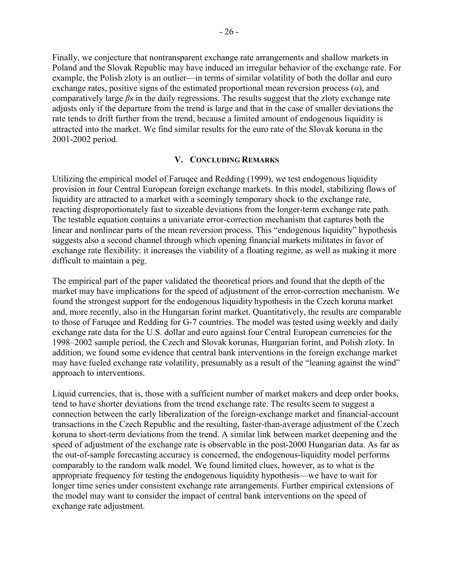Finally, we conjecture that nontransparent exchange rate arrangements and shallow markets in Poland and the Slovak Republic may have induced an irregular behavior of the exchange rate. For example, the Polish zloty is an outlier—in terms of similar volatility of both the dollar and euro exchange rates, positive signs of the estimated proportional mean reversion process (*α*), and comparatively large *β*s in the daily regressions. The results suggest that the zloty exchange rate adjusts only if the departure from the trend is large and that in the case of smaller deviations the rate tends to drift further from the trend, because a limited amount of endogenous liquidity is attracted into the market. We find similar results for the euro rate of the Slovak koruna in the 2001-2002 period.

# **V. CONCLUDING REMARKS**

Utilizing the empirical model of Faruqee and Redding (1999), we test endogenous liquidity provision in four Central European foreign exchange markets. In this model, stabilizing flows of liquidity are attracted to a market with a seemingly temporary shock to the exchange rate, reacting disproportionately fast to sizeable deviations from the longer-term exchange rate path. The testable equation contains a univariate error-correction mechanism that captures both the linear and nonlinear parts of the mean reversion process. This "endogenous liquidity" hypothesis suggests also a second channel through which opening financial markets militates in favor of exchange rate flexibility: it increases the viability of a floating regime, as well as making it more difficult to maintain a peg.

The empirical part of the paper validated the theoretical priors and found that the depth of the market may have implications for the speed of adjustment of the error-correction mechanism. We found the strongest support for the endogenous liquidity hypothesis in the Czech koruna market and, more recently, also in the Hungarian forint market. Quantitatively, the results are comparable to those of Faruqee and Redding for G-7 countries. The model was tested using weekly and daily exchange rate data for the U.S. dollar and euro against four Central European currencies for the 1998–2002 sample period, the Czech and Slovak korunas, Hungarian forint, and Polish zloty. In addition, we found some evidence that central bank interventions in the foreign exchange market may have fueled exchange rate volatility, presumably as a result of the "leaning against the wind" approach to interventions.

Liquid currencies, that is, those with a sufficient number of market makers and deep order books, tend to have shorter deviations from the trend exchange rate. The results seem to suggest a connection between the early liberalization of the foreign-exchange market and financial-account transactions in the Czech Republic and the resulting, faster-than-average adjustment of the Czech koruna to short-term deviations from the trend. A similar link between market deepening and the speed of adjustment of the exchange rate is observable in the post-2000 Hungarian data. As far as the out-of-sample forecasting accuracy is concerned, the endogenous-liquidity model performs comparably to the random walk model. We found limited clues, however, as to what is the appropriate frequency for testing the endogenous liquidity hypothesis—we have to wait for longer time series under consistent exchange rate arrangements. Further empirical extensions of the model may want to consider the impact of central bank interventions on the speed of exchange rate adjustment.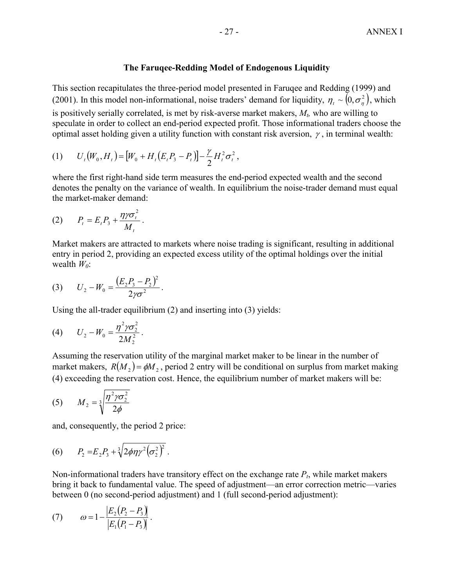#### **The Faruqee-Redding Model of Endogenous Liquidity**

This section recapitulates the three-period model presented in Faruqee and Redding (1999) and (2001). In this model non-informational, noise traders' demand for liquidity,  $\eta_i \sim (0, \sigma_i^2)$ , which is positively serially correlated, is met by risk-averse market makers,  $M<sub>t</sub>$ , who are willing to speculate in order to collect an end-period expected profit. Those informational traders choose the optimal asset holding given a utility function with constant risk aversion,  $\gamma$ , in terminal wealth:

(1) 
$$
U_t(W_0, H_t) = [W_0 + H_t(E_t P_3 - P_t)] - \frac{\gamma}{2} H_t^2 \sigma_t^2,
$$

where the first right-hand side term measures the end-period expected wealth and the second denotes the penalty on the variance of wealth. In equilibrium the noise-trader demand must equal the market-maker demand:

$$
(2) \qquad P_t = E_t P_3 + \frac{\eta \gamma \sigma_t^2}{M_t} \, .
$$

Market makers are attracted to markets where noise trading is significant, resulting in additional entry in period 2, providing an expected excess utility of the optimal holdings over the initial wealth  $W_0$ :

(3) 
$$
U_2 - W_0 = \frac{(E_2 P_3 - P_2)^2}{2 \gamma \sigma^2}
$$
.

Using the all-trader equilibrium (2) and inserting into (3) yields:

(4) 
$$
U_2 - W_0 = \frac{\eta^2 \gamma \sigma_2^2}{2M_2^2}.
$$

Assuming the reservation utility of the marginal market maker to be linear in the number of market makers,  $R(M_2) = \phi M_2$ , period 2 entry will be conditional on surplus from market making (4) exceeding the reservation cost. Hence, the equilibrium number of market makers will be:

$$
(5) \qquad M_2 = \sqrt[3]{\frac{\eta^2 \gamma \sigma_2^2}{2\phi}}
$$

and, consequently, the period 2 price:

(6) 
$$
P_2 = E_2 P_3 + \sqrt[3]{2\phi\eta\gamma^2(\sigma_2^2)^2}.
$$

Non-informational traders have transitory effect on the exchange rate  $P_t$ , while market makers bring it back to fundamental value. The speed of adjustment—an error correction metric—varies between 0 (no second-period adjustment) and 1 (full second-period adjustment):

(7) 
$$
\omega = 1 - \frac{|E_2(P_2 - P_3)|}{|E_1(P_1 - P_3)|}.
$$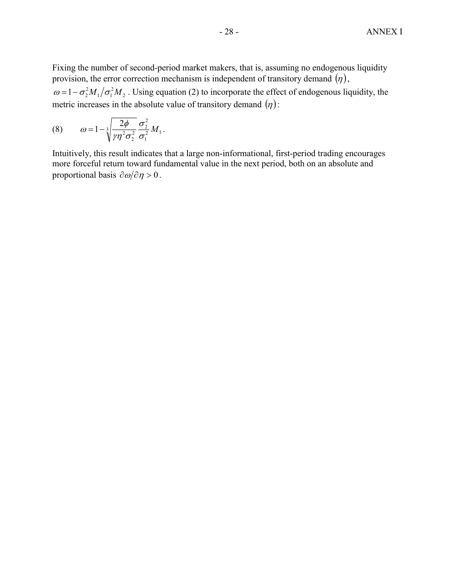Fixing the number of second-period market makers, that is, assuming no endogenous liquidity provision, the error correction mechanism is independent of transitory demand  $(\eta)$ , 2 2  $\omega = 1 - \sigma_2^2 M_1 / \sigma_1^2 M_2$ . Using equation (2) to incorporate the effect of endogenous liquidity, the metric increases in the absolute value of transitory demand  $(\eta)$ :

(8) 
$$
\omega = 1 - \sqrt[3]{\frac{2\phi}{\gamma \eta^2 \sigma_2^2}} \frac{\sigma_2^2}{\sigma_1^2} M_1.
$$

Intuitively, this result indicates that a large non-informational, first-period trading encourages more forceful return toward fundamental value in the next period, both on an absolute and proportional basis  $\partial \omega / \partial \eta > 0$ .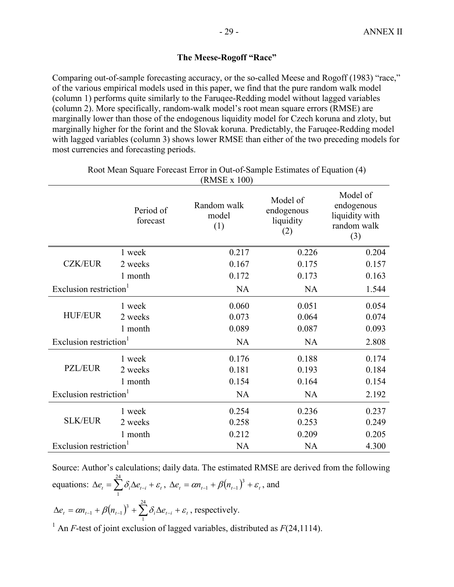# **The Meese-Rogoff "Race"**

Comparing out-of-sample forecasting accuracy, or the so-called Meese and Rogoff (1983) "race," of the various empirical models used in this paper, we find that the pure random walk model (column 1) performs quite similarly to the Faruqee-Redding model without lagged variables (column 2). More specifically, random-walk model's root mean square errors (RMSE) are marginally lower than those of the endogenous liquidity model for Czech koruna and zloty, but marginally higher for the forint and the Slovak koruna. Predictably, the Faruqee-Redding model with lagged variables (column 3) shows lower RMSE than either of the two preceding models for most currencies and forecasting periods.

|                                    | Period of<br>forecast        | Random walk<br>model<br>(1) | Model of<br>endogenous<br>liquidity<br>(2) | Model of<br>endogenous<br>liquidity with<br>random walk<br>(3) |
|------------------------------------|------------------------------|-----------------------------|--------------------------------------------|----------------------------------------------------------------|
|                                    | 1 week                       | 0.217                       | 0.226                                      | 0.204                                                          |
| <b>CZK/EUR</b>                     | 2 weeks                      | 0.167                       | 0.175                                      | 0.157                                                          |
|                                    | 1 month                      | 0.172                       | 0.173                                      | 0.163                                                          |
| Exclusion restriction <sup>1</sup> |                              | <b>NA</b>                   | <b>NA</b>                                  | 1.544                                                          |
| <b>HUF/EUR</b>                     | 1 week<br>2 weeks<br>1 month | 0.060<br>0.073<br>0.089     | 0.051<br>0.064<br>0.087                    | 0.054<br>0.074<br>0.093                                        |
| Exclusion restriction <sup>1</sup> |                              | <b>NA</b>                   | <b>NA</b>                                  | 2.808                                                          |
| <b>PZL/EUR</b>                     | 1 week<br>2 weeks<br>1 month | 0.176<br>0.181<br>0.154     | 0.188<br>0.193<br>0.164                    | 0.174<br>0.184<br>0.154                                        |
| Exclusion restriction <sup>1</sup> |                              | <b>NA</b>                   | <b>NA</b>                                  | 2.192                                                          |
| <b>SLK/EUR</b>                     | 1 week<br>2 weeks<br>1 month | 0.254<br>0.258<br>0.212     | 0.236<br>0.253<br>0.209                    | 0.237<br>0.249<br>0.205                                        |
| Exclusion restriction              |                              | <b>NA</b>                   | <b>NA</b>                                  | 4.300                                                          |

Root Mean Square Forecast Error in Out-of-Sample Estimates of Equation (4) (RMSE x 100)

Source: Author's calculations; daily data. The estimated RMSE are derived from the following equations:  $\Delta e_t = \sum_{i=1}^{24} \delta_i \Delta e_{t-i} + \varepsilon_t$ 1 ,  $\Delta e_t = \alpha n_{t-1} + \beta (n_{t-1})^3 + \varepsilon_t$ , and  $\Delta e_t = \alpha n_{t-1} + \beta (n_{t-1})^3 + \sum_{i=1}^{24} \delta_i \Delta e_{t-i} + \varepsilon_t$ 1  $\beta_1 + \beta (n_{t-1})^3 + \sum \delta_i \Delta e_{t-i} + \varepsilon_t$ , respectively. <sup>1</sup> An *F*-test of joint exclusion of lagged variables, distributed as  $F(24,1114)$ .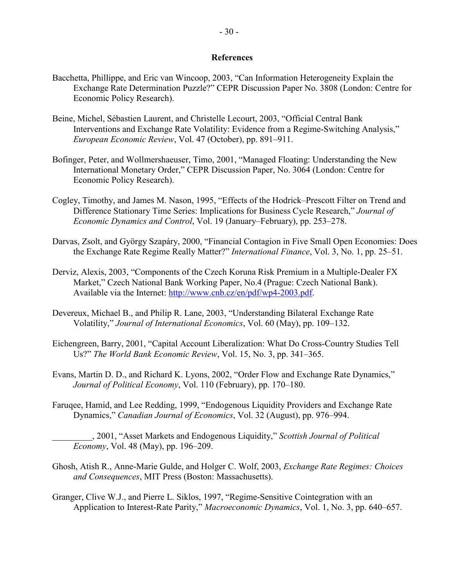#### **References**

- Bacchetta, Phillippe, and Eric van Wincoop, 2003, "Can Information Heterogeneity Explain the Exchange Rate Determination Puzzle?" CEPR Discussion Paper No. 3808 (London: Centre for Economic Policy Research).
- Beine, Michel, Sébastien Laurent, and Christelle Lecourt, 2003, "Official Central Bank Interventions and Exchange Rate Volatility: Evidence from a Regime-Switching Analysis," *European Economic Review*, Vol. 47 (October), pp. 891–911.
- Bofinger, Peter, and Wollmershaeuser, Timo, 2001, "Managed Floating: Understanding the New International Monetary Order," CEPR Discussion Paper, No. 3064 (London: Centre for Economic Policy Research).
- Cogley, Timothy, and James M. Nason, 1995, "Effects of the Hodrick–Prescott Filter on Trend and Difference Stationary Time Series: Implications for Business Cycle Research," *Journal of Economic Dynamics and Control*, Vol. 19 (January–February), pp. 253–278.
- Darvas, Zsolt, and György Szapáry, 2000, "Financial Contagion in Five Small Open Economies: Does the Exchange Rate Regime Really Matter?" *International Finance*, Vol. 3, No. 1, pp. 25–51.
- Derviz, Alexis, 2003, "Components of the Czech Koruna Risk Premium in a Multiple-Dealer FX Market," Czech National Bank Working Paper, No.4 (Prague: Czech National Bank). Available via the Internet: [http://www.cnb.cz/en/pdf/wp4-2003.pdf.](http://www.cnb.cz/en/pdf/wp4-2003.pdf)
- Devereux, Michael B., and Philip R. Lane, 2003, "Understanding Bilateral Exchange Rate Volatility," *Journal of International Economics*, Vol. 60 (May), pp. 109–132.
- Eichengreen, Barry, 2001, "Capital Account Liberalization: What Do Cross-Country Studies Tell Us?" *The World Bank Economic Review*, Vol. 15, No. 3, pp. 341–365.
- Evans, Martin D. D., and Richard K. Lyons, 2002, "Order Flow and Exchange Rate Dynamics," *Journal of Political Economy*, Vol. 110 (February), pp. 170–180.
- Faruqee, Hamid, and Lee Redding, 1999, "Endogenous Liquidity Providers and Exchange Rate Dynamics," *Canadian Journal of Economics*, Vol. 32 (August), pp. 976–994.
	- \_\_\_\_\_\_\_\_\_, 2001, "Asset Markets and Endogenous Liquidity," *Scottish Journal of Political Economy*, Vol. 48 (May), pp. 196–209.
- Ghosh, Atish R., Anne-Marie Gulde, and Holger C. Wolf, 2003, *Exchange Rate Regimes: Choices and Consequences*, MIT Press (Boston: Massachusetts).
- Granger, Clive W.J., and Pierre L. Siklos, 1997, "Regime-Sensitive Cointegration with an Application to Interest-Rate Parity," *Macroeconomic Dynamics*, Vol. 1, No. 3, pp. 640–657.